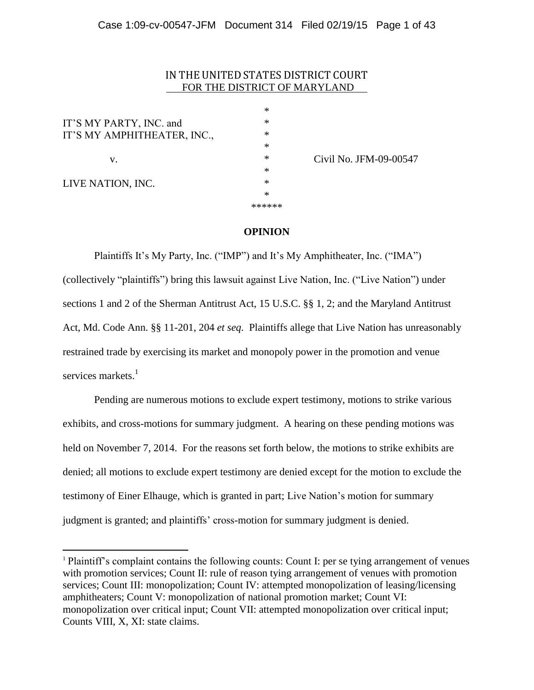# IN THE UNITED STATES DISTRICT COURT FOR THE DISTRICT OF MARYLAND

\*

| IT'S MY PARTY, INC. and     | ∗      |
|-----------------------------|--------|
| IT'S MY AMPHITHEATER, INC., | $\ast$ |
|                             | $\ast$ |
| V.                          | $\ast$ |
|                             | $\ast$ |
| LIVE NATION, INC.           | $\ast$ |
|                             | $\ast$ |
|                             | ****** |

 $\overline{a}$ 

 $*$  Civil No. JFM-09-00547

### **OPINION**

Plaintiffs It's My Party, Inc. ("IMP") and It's My Amphitheater, Inc. ("IMA") (collectively "plaintiffs") bring this lawsuit against Live Nation, Inc. ("Live Nation") under sections 1 and 2 of the Sherman Antitrust Act, 15 U.S.C. §§ 1, 2; and the Maryland Antitrust Act, Md. Code Ann. §§ 11-201, 204 *et seq*. Plaintiffs allege that Live Nation has unreasonably restrained trade by exercising its market and monopoly power in the promotion and venue services markets.<sup>1</sup>

Pending are numerous motions to exclude expert testimony, motions to strike various exhibits, and cross-motions for summary judgment. A hearing on these pending motions was held on November 7, 2014. For the reasons set forth below, the motions to strike exhibits are denied; all motions to exclude expert testimony are denied except for the motion to exclude the testimony of Einer Elhauge, which is granted in part; Live Nation's motion for summary judgment is granted; and plaintiffs' cross-motion for summary judgment is denied.

<sup>1</sup> Plaintiff's complaint contains the following counts: Count I: per se tying arrangement of venues with promotion services; Count II: rule of reason tying arrangement of venues with promotion services; Count III: monopolization; Count IV: attempted monopolization of leasing/licensing amphitheaters; Count V: monopolization of national promotion market; Count VI: monopolization over critical input; Count VII: attempted monopolization over critical input; Counts VIII, X, XI: state claims.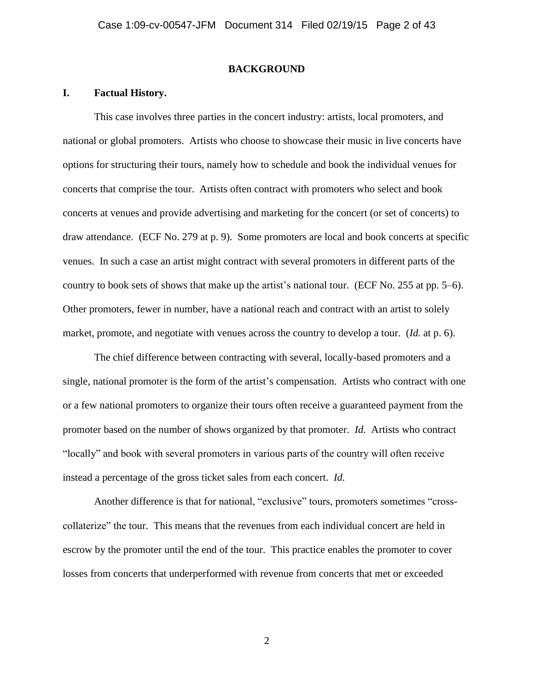#### **BACKGROUND**

### **I. Factual History.**

This case involves three parties in the concert industry: artists, local promoters, and national or global promoters. Artists who choose to showcase their music in live concerts have options for structuring their tours, namely how to schedule and book the individual venues for concerts that comprise the tour. Artists often contract with promoters who select and book concerts at venues and provide advertising and marketing for the concert (or set of concerts) to draw attendance. (ECF No. 279 at p. 9). Some promoters are local and book concerts at specific venues. In such a case an artist might contract with several promoters in different parts of the country to book sets of shows that make up the artist's national tour. (ECF No. 255 at pp. 5–6). Other promoters, fewer in number, have a national reach and contract with an artist to solely market, promote, and negotiate with venues across the country to develop a tour. (*Id.* at p. 6).

The chief difference between contracting with several, locally-based promoters and a single, national promoter is the form of the artist's compensation. Artists who contract with one or a few national promoters to organize their tours often receive a guaranteed payment from the promoter based on the number of shows organized by that promoter. *Id.* Artists who contract "locally" and book with several promoters in various parts of the country will often receive instead a percentage of the gross ticket sales from each concert. *Id.*

Another difference is that for national, "exclusive" tours, promoters sometimes "crosscollaterize" the tour. This means that the revenues from each individual concert are held in escrow by the promoter until the end of the tour. This practice enables the promoter to cover losses from concerts that underperformed with revenue from concerts that met or exceeded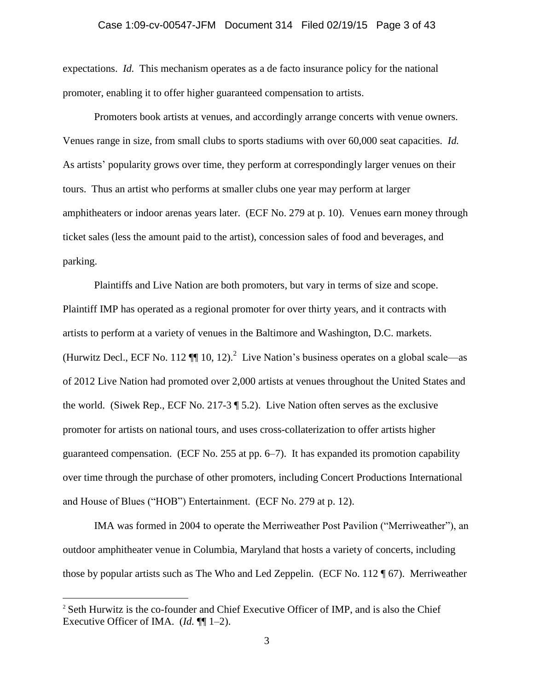expectations. *Id.* This mechanism operates as a de facto insurance policy for the national promoter, enabling it to offer higher guaranteed compensation to artists.

Promoters book artists at venues, and accordingly arrange concerts with venue owners. Venues range in size, from small clubs to sports stadiums with over 60,000 seat capacities. *Id.* As artists' popularity grows over time, they perform at correspondingly larger venues on their tours. Thus an artist who performs at smaller clubs one year may perform at larger amphitheaters or indoor arenas years later. (ECF No. 279 at p. 10). Venues earn money through ticket sales (less the amount paid to the artist), concession sales of food and beverages, and parking.

Plaintiffs and Live Nation are both promoters, but vary in terms of size and scope. Plaintiff IMP has operated as a regional promoter for over thirty years, and it contracts with artists to perform at a variety of venues in the Baltimore and Washington, D.C. markets. (Hurwitz Decl., ECF No. 112  $\P$  10, 12).<sup>2</sup> Live Nation's business operates on a global scale—as of 2012 Live Nation had promoted over 2,000 artists at venues throughout the United States and the world. (Siwek Rep., ECF No. 217-3 ¶ 5.2). Live Nation often serves as the exclusive promoter for artists on national tours, and uses cross-collaterization to offer artists higher guaranteed compensation. (ECF No. 255 at pp. 6–7). It has expanded its promotion capability over time through the purchase of other promoters, including Concert Productions International and House of Blues ("HOB") Entertainment. (ECF No. 279 at p. 12).

IMA was formed in 2004 to operate the Merriweather Post Pavilion ("Merriweather"), an outdoor amphitheater venue in Columbia, Maryland that hosts a variety of concerts, including those by popular artists such as The Who and Led Zeppelin. (ECF No. 112 ¶ 67). Merriweather

 $\overline{a}$ 

<sup>&</sup>lt;sup>2</sup> Seth Hurwitz is the co-founder and Chief Executive Officer of IMP, and is also the Chief Executive Officer of IMA. (*Id.* ¶¶ 1–2).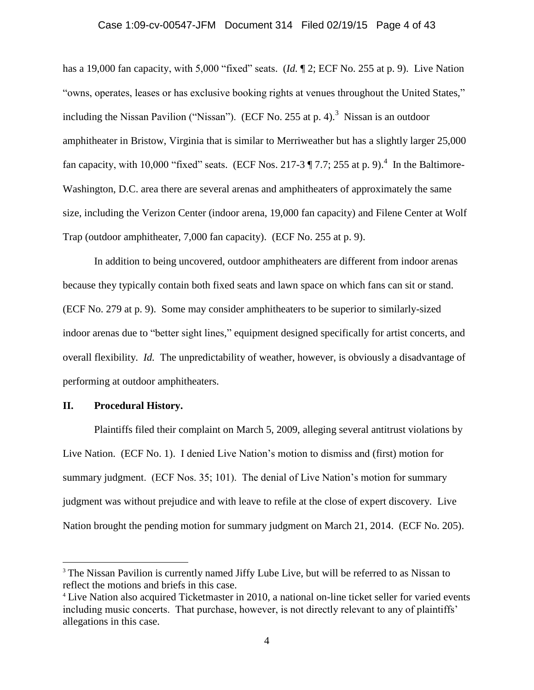# Case 1:09-cv-00547-JFM Document 314 Filed 02/19/15 Page 4 of 43

has a 19,000 fan capacity, with 5,000 "fixed" seats. (*Id.* ¶ 2; ECF No. 255 at p. 9). Live Nation "owns, operates, leases or has exclusive booking rights at venues throughout the United States," including the Nissan Pavilion ("Nissan"). (ECF No. 255 at p. 4).<sup>3</sup> Nissan is an outdoor amphitheater in Bristow, Virginia that is similar to Merriweather but has a slightly larger 25,000 fan capacity, with 10,000 "fixed" seats. (ECF Nos. 217-3  $\P$  7.7; 255 at p. 9).<sup>4</sup> In the Baltimore-Washington, D.C. area there are several arenas and amphitheaters of approximately the same size, including the Verizon Center (indoor arena, 19,000 fan capacity) and Filene Center at Wolf Trap (outdoor amphitheater, 7,000 fan capacity). (ECF No. 255 at p. 9).

In addition to being uncovered, outdoor amphitheaters are different from indoor arenas because they typically contain both fixed seats and lawn space on which fans can sit or stand. (ECF No. 279 at p. 9). Some may consider amphitheaters to be superior to similarly-sized indoor arenas due to "better sight lines," equipment designed specifically for artist concerts, and overall flexibility. *Id.* The unpredictability of weather, however, is obviously a disadvantage of performing at outdoor amphitheaters.

### **II. Procedural History.**

 $\overline{a}$ 

Plaintiffs filed their complaint on March 5, 2009, alleging several antitrust violations by Live Nation. (ECF No. 1). I denied Live Nation's motion to dismiss and (first) motion for summary judgment. (ECF Nos. 35; 101). The denial of Live Nation's motion for summary judgment was without prejudice and with leave to refile at the close of expert discovery. Live Nation brought the pending motion for summary judgment on March 21, 2014. (ECF No. 205).

<sup>&</sup>lt;sup>3</sup> The Nissan Pavilion is currently named Jiffy Lube Live, but will be referred to as Nissan to reflect the motions and briefs in this case.

<sup>4</sup> Live Nation also acquired Ticketmaster in 2010, a national on-line ticket seller for varied events including music concerts. That purchase, however, is not directly relevant to any of plaintiffs' allegations in this case.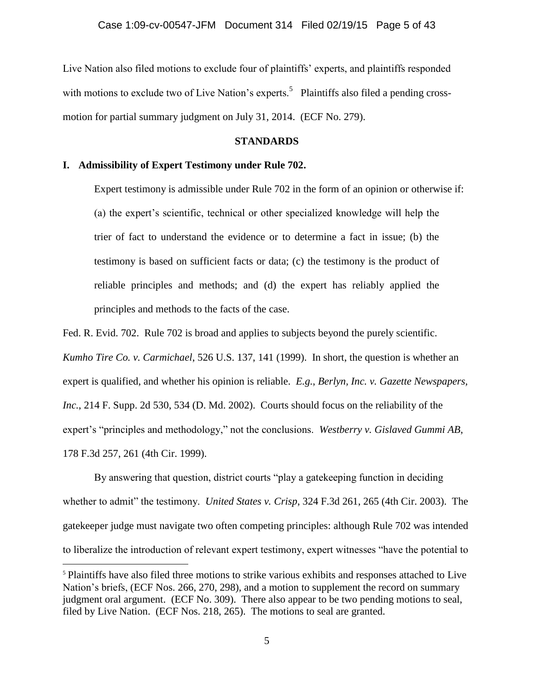Live Nation also filed motions to exclude four of plaintiffs' experts, and plaintiffs responded with motions to exclude two of Live Nation's experts.<sup>5</sup> Plaintiffs also filed a pending crossmotion for partial summary judgment on July 31, 2014. (ECF No. 279).

### **STANDARDS**

# **I. Admissibility of Expert Testimony under Rule 702.**

 $\overline{a}$ 

Expert testimony is admissible under Rule 702 in the form of an opinion or otherwise if: (a) the expert's scientific, technical or other specialized knowledge will help the trier of fact to understand the evidence or to determine a fact in issue; (b) the testimony is based on sufficient facts or data; (c) the testimony is the product of reliable principles and methods; and (d) the expert has reliably applied the principles and methods to the facts of the case.

Fed. R. Evid. 702. Rule 702 is broad and applies to subjects beyond the purely scientific. *Kumho Tire Co. v. Carmichael*, 526 U.S. 137, 141 (1999). In short, the question is whether an expert is qualified, and whether his opinion is reliable. *E.g.*, *Berlyn, Inc. v. Gazette Newspapers, Inc.*, 214 F. Supp. 2d 530, 534 (D. Md. 2002). Courts should focus on the reliability of the expert's "principles and methodology," not the conclusions. *Westberry v. Gislaved Gummi AB*, 178 F.3d 257, 261 (4th Cir. 1999).

By answering that question, district courts "play a gatekeeping function in deciding whether to admit" the testimony. *United States v. Crisp*, 324 F.3d 261, 265 (4th Cir. 2003). The gatekeeper judge must navigate two often competing principles: although Rule 702 was intended to liberalize the introduction of relevant expert testimony, expert witnesses "have the potential to

<sup>5</sup> Plaintiffs have also filed three motions to strike various exhibits and responses attached to Live Nation's briefs, (ECF Nos. 266, 270, 298), and a motion to supplement the record on summary judgment oral argument. (ECF No. 309). There also appear to be two pending motions to seal, filed by Live Nation. (ECF Nos. 218, 265). The motions to seal are granted.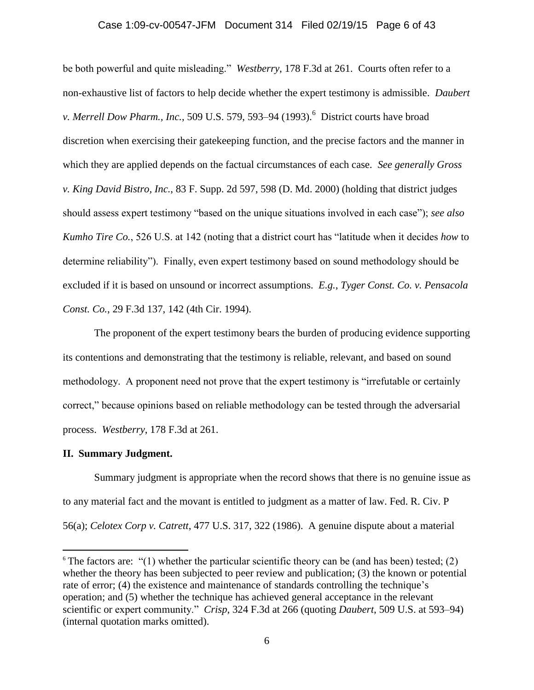# Case 1:09-cv-00547-JFM Document 314 Filed 02/19/15 Page 6 of 43

be both powerful and quite misleading." *Westberry*, 178 F.3d at 261. Courts often refer to a non-exhaustive list of factors to help decide whether the expert testimony is admissible. *Daubert*  v. Merrell Dow Pharm., Inc., 509 U.S. 579, 593–94 (1993).<sup>6</sup> District courts have broad discretion when exercising their gatekeeping function, and the precise factors and the manner in which they are applied depends on the factual circumstances of each case. *See generally Gross v. King David Bistro, Inc.*, 83 F. Supp. 2d 597, 598 (D. Md. 2000) (holding that district judges should assess expert testimony "based on the unique situations involved in each case"); *see also Kumho Tire Co.*, 526 U.S. at 142 (noting that a district court has "latitude when it decides *how* to determine reliability"). Finally, even expert testimony based on sound methodology should be excluded if it is based on unsound or incorrect assumptions. *E.g.*, *Tyger Const. Co. v. Pensacola Const. Co.*, 29 F.3d 137, 142 (4th Cir. 1994).

The proponent of the expert testimony bears the burden of producing evidence supporting its contentions and demonstrating that the testimony is reliable, relevant, and based on sound methodology. A proponent need not prove that the expert testimony is "irrefutable or certainly correct," because opinions based on reliable methodology can be tested through the adversarial process. *Westberry*, 178 F.3d at 261.

#### **II. Summary Judgment.**

 $\overline{a}$ 

Summary judgment is appropriate when the record shows that there is no genuine issue as to any material fact and the movant is entitled to judgment as a matter of law. Fed. R. Civ. P 56(a); *Celotex Corp v. Catrett*, 477 U.S. 317, 322 (1986). A genuine dispute about a material

 $6$  The factors are:  $(1)$  whether the particular scientific theory can be (and has been) tested; (2) whether the theory has been subjected to peer review and publication; (3) the known or potential rate of error; (4) the existence and maintenance of standards controlling the technique's operation; and (5) whether the technique has achieved general acceptance in the relevant scientific or expert community." *Crisp*, 324 F.3d at 266 (quoting *Daubert*, 509 U.S. at 593–94) (internal quotation marks omitted).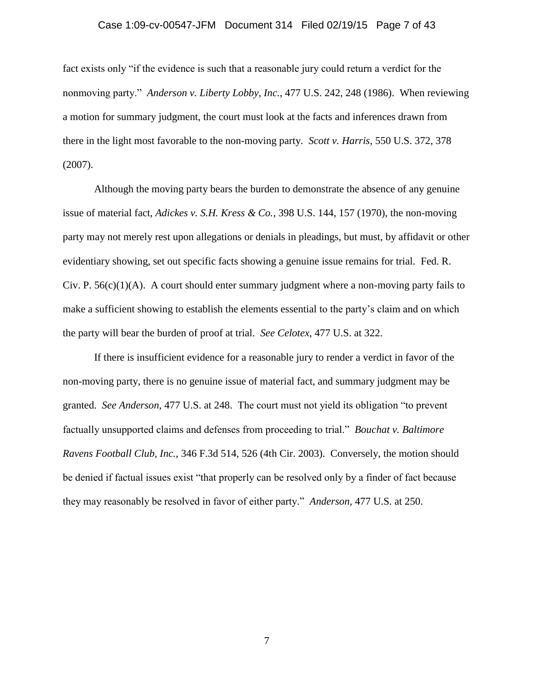# Case 1:09-cv-00547-JFM Document 314 Filed 02/19/15 Page 7 of 43

fact exists only "if the evidence is such that a reasonable jury could return a verdict for the nonmoving party." *Anderson v. Liberty Lobby, Inc.*, 477 U.S. 242, 248 (1986). When reviewing a motion for summary judgment, the court must look at the facts and inferences drawn from there in the light most favorable to the non-moving party. *Scott v. Harris*, 550 U.S. 372, 378 (2007).

Although the moving party bears the burden to demonstrate the absence of any genuine issue of material fact, *Adickes v. S.H. Kress & Co.*, 398 U.S. 144, 157 (1970), the non-moving party may not merely rest upon allegations or denials in pleadings, but must, by affidavit or other evidentiary showing, set out specific facts showing a genuine issue remains for trial. Fed. R. Civ. P.  $56(c)(1)(A)$ . A court should enter summary judgment where a non-moving party fails to make a sufficient showing to establish the elements essential to the party's claim and on which the party will bear the burden of proof at trial. *See Celotex*, 477 U.S. at 322.

If there is insufficient evidence for a reasonable jury to render a verdict in favor of the non-moving party, there is no genuine issue of material fact, and summary judgment may be granted. *See Anderson*, 477 U.S. at 248. The court must not yield its obligation "to prevent factually unsupported claims and defenses from proceeding to trial." *Bouchat v. Baltimore Ravens Football Club, Inc.*, 346 F.3d 514, 526 (4th Cir. 2003). Conversely, the motion should be denied if factual issues exist "that properly can be resolved only by a finder of fact because they may reasonably be resolved in favor of either party." *Anderson*, 477 U.S. at 250.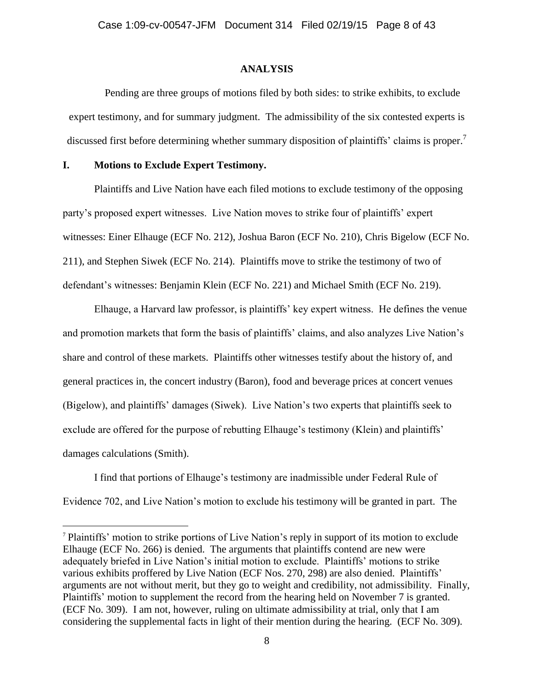### **ANALYSIS**

Pending are three groups of motions filed by both sides: to strike exhibits, to exclude expert testimony, and for summary judgment. The admissibility of the six contested experts is discussed first before determining whether summary disposition of plaintiffs' claims is proper.<sup>7</sup>

# **I. Motions to Exclude Expert Testimony.**

 $\overline{a}$ 

Plaintiffs and Live Nation have each filed motions to exclude testimony of the opposing party's proposed expert witnesses. Live Nation moves to strike four of plaintiffs' expert witnesses: Einer Elhauge (ECF No. 212), Joshua Baron (ECF No. 210), Chris Bigelow (ECF No. 211), and Stephen Siwek (ECF No. 214). Plaintiffs move to strike the testimony of two of defendant's witnesses: Benjamin Klein (ECF No. 221) and Michael Smith (ECF No. 219).

Elhauge, a Harvard law professor, is plaintiffs' key expert witness. He defines the venue and promotion markets that form the basis of plaintiffs' claims, and also analyzes Live Nation's share and control of these markets. Plaintiffs other witnesses testify about the history of, and general practices in, the concert industry (Baron), food and beverage prices at concert venues (Bigelow), and plaintiffs' damages (Siwek). Live Nation's two experts that plaintiffs seek to exclude are offered for the purpose of rebutting Elhauge's testimony (Klein) and plaintiffs' damages calculations (Smith).

I find that portions of Elhauge's testimony are inadmissible under Federal Rule of Evidence 702, and Live Nation's motion to exclude his testimony will be granted in part. The

<sup>7</sup> Plaintiffs' motion to strike portions of Live Nation's reply in support of its motion to exclude Elhauge (ECF No. 266) is denied. The arguments that plaintiffs contend are new were adequately briefed in Live Nation's initial motion to exclude. Plaintiffs' motions to strike various exhibits proffered by Live Nation (ECF Nos. 270, 298) are also denied. Plaintiffs' arguments are not without merit, but they go to weight and credibility, not admissibility. Finally, Plaintiffs' motion to supplement the record from the hearing held on November 7 is granted. (ECF No. 309). I am not, however, ruling on ultimate admissibility at trial, only that I am considering the supplemental facts in light of their mention during the hearing. (ECF No. 309).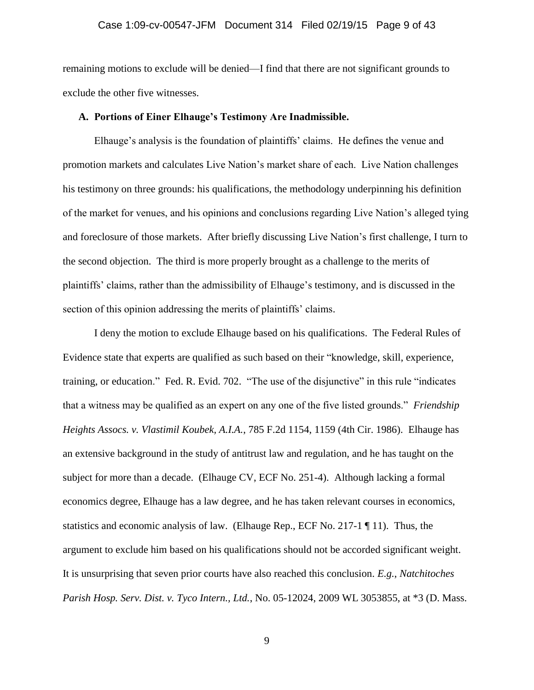#### Case 1:09-cv-00547-JFM Document 314 Filed 02/19/15 Page 9 of 43

remaining motions to exclude will be denied—I find that there are not significant grounds to exclude the other five witnesses.

#### **A. Portions of Einer Elhauge's Testimony Are Inadmissible.**

Elhauge's analysis is the foundation of plaintiffs' claims. He defines the venue and promotion markets and calculates Live Nation's market share of each. Live Nation challenges his testimony on three grounds: his qualifications, the methodology underpinning his definition of the market for venues, and his opinions and conclusions regarding Live Nation's alleged tying and foreclosure of those markets. After briefly discussing Live Nation's first challenge, I turn to the second objection. The third is more properly brought as a challenge to the merits of plaintiffs' claims, rather than the admissibility of Elhauge's testimony, and is discussed in the section of this opinion addressing the merits of plaintiffs' claims.

I deny the motion to exclude Elhauge based on his qualifications. The Federal Rules of Evidence state that experts are qualified as such based on their "knowledge, skill, experience, training, or education." Fed. R. Evid. 702. "The use of the disjunctive" in this rule "indicates that a witness may be qualified as an expert on any one of the five listed grounds." *Friendship Heights Assocs. v. Vlastimil Koubek, A.I.A.*, 785 F.2d 1154, 1159 (4th Cir. 1986). Elhauge has an extensive background in the study of antitrust law and regulation, and he has taught on the subject for more than a decade. (Elhauge CV, ECF No. 251-4). Although lacking a formal economics degree, Elhauge has a law degree, and he has taken relevant courses in economics, statistics and economic analysis of law. (Elhauge Rep., ECF No. 217-1  $\P$  11). Thus, the argument to exclude him based on his qualifications should not be accorded significant weight. It is unsurprising that seven prior courts have also reached this conclusion. *E.g.*, *Natchitoches Parish Hosp. Serv. Dist. v. Tyco Intern., Ltd.*, No. 05-12024, 2009 WL 3053855, at \*3 (D. Mass.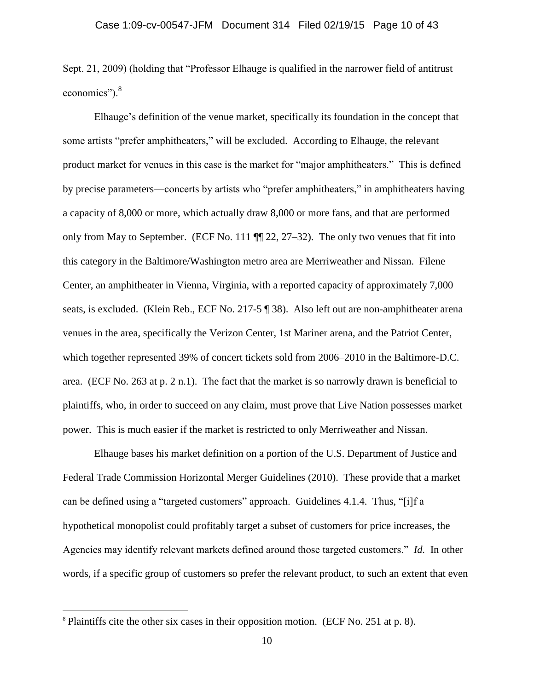Sept. 21, 2009) (holding that "Professor Elhauge is qualified in the narrower field of antitrust economics").<sup>8</sup>

Elhauge's definition of the venue market, specifically its foundation in the concept that some artists "prefer amphitheaters," will be excluded. According to Elhauge, the relevant product market for venues in this case is the market for "major amphitheaters." This is defined by precise parameters—concerts by artists who "prefer amphitheaters," in amphitheaters having a capacity of 8,000 or more, which actually draw 8,000 or more fans, and that are performed only from May to September. (ECF No. 111 ¶¶ 22, 27–32). The only two venues that fit into this category in the Baltimore/Washington metro area are Merriweather and Nissan. Filene Center, an amphitheater in Vienna, Virginia, with a reported capacity of approximately 7,000 seats, is excluded. (Klein Reb., ECF No. 217-5 ¶ 38). Also left out are non-amphitheater arena venues in the area, specifically the Verizon Center, 1st Mariner arena, and the Patriot Center, which together represented 39% of concert tickets sold from 2006–2010 in the Baltimore-D.C. area. (ECF No. 263 at p. 2 n.1). The fact that the market is so narrowly drawn is beneficial to plaintiffs, who, in order to succeed on any claim, must prove that Live Nation possesses market power. This is much easier if the market is restricted to only Merriweather and Nissan.

Elhauge bases his market definition on a portion of the U.S. Department of Justice and Federal Trade Commission Horizontal Merger Guidelines (2010). These provide that a market can be defined using a "targeted customers" approach. Guidelines 4.1.4. Thus, "[i]f a hypothetical monopolist could profitably target a subset of customers for price increases, the Agencies may identify relevant markets defined around those targeted customers." *Id.* In other words, if a specific group of customers so prefer the relevant product, to such an extent that even

 $\overline{a}$ 

<sup>8</sup> Plaintiffs cite the other six cases in their opposition motion. (ECF No. 251 at p. 8).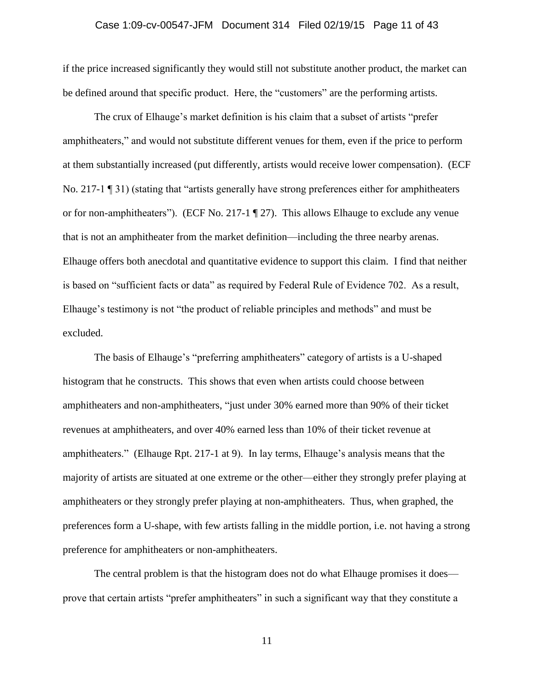if the price increased significantly they would still not substitute another product, the market can be defined around that specific product. Here, the "customers" are the performing artists.

The crux of Elhauge's market definition is his claim that a subset of artists "prefer amphitheaters," and would not substitute different venues for them, even if the price to perform at them substantially increased (put differently, artists would receive lower compensation). (ECF No. 217-1 ¶ 31) (stating that "artists generally have strong preferences either for amphitheaters or for non-amphitheaters"). (ECF No. 217-1 ¶ 27). This allows Elhauge to exclude any venue that is not an amphitheater from the market definition—including the three nearby arenas. Elhauge offers both anecdotal and quantitative evidence to support this claim. I find that neither is based on "sufficient facts or data" as required by Federal Rule of Evidence 702. As a result, Elhauge's testimony is not "the product of reliable principles and methods" and must be excluded.

The basis of Elhauge's "preferring amphitheaters" category of artists is a U-shaped histogram that he constructs. This shows that even when artists could choose between amphitheaters and non-amphitheaters, "just under 30% earned more than 90% of their ticket revenues at amphitheaters, and over 40% earned less than 10% of their ticket revenue at amphitheaters." (Elhauge Rpt. 217-1 at 9). In lay terms, Elhauge's analysis means that the majority of artists are situated at one extreme or the other—either they strongly prefer playing at amphitheaters or they strongly prefer playing at non-amphitheaters. Thus, when graphed, the preferences form a U-shape, with few artists falling in the middle portion, i.e. not having a strong preference for amphitheaters or non-amphitheaters.

The central problem is that the histogram does not do what Elhauge promises it does prove that certain artists "prefer amphitheaters" in such a significant way that they constitute a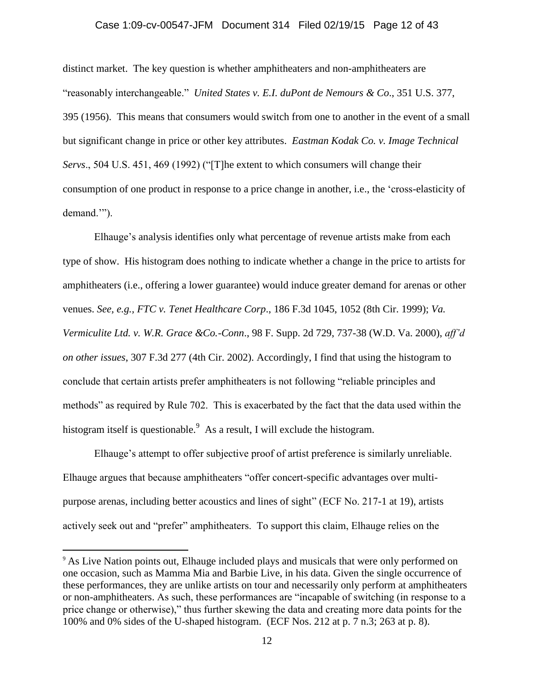# Case 1:09-cv-00547-JFM Document 314 Filed 02/19/15 Page 12 of 43

distinct market. The key question is whether amphitheaters and non-amphitheaters are "reasonably interchangeable." *United States v. E.I. duPont de Nemours & Co*., 351 U.S. 377, 395 (1956). This means that consumers would switch from one to another in the event of a small but significant change in price or other key attributes. *Eastman Kodak Co. v. Image Technical Servs*., 504 U.S. 451, 469 (1992) ("[T]he extent to which consumers will change their consumption of one product in response to a price change in another, i.e., the 'cross-elasticity of demand.'").

Elhauge's analysis identifies only what percentage of revenue artists make from each type of show. His histogram does nothing to indicate whether a change in the price to artists for amphitheaters (i.e., offering a lower guarantee) would induce greater demand for arenas or other venues. *See, e.g., FTC v. Tenet Healthcare Corp*., 186 F.3d 1045, 1052 (8th Cir. 1999); *Va. Vermiculite Ltd. v. W.R. Grace &Co.-Conn*., 98 F. Supp. 2d 729, 737-38 (W.D. Va. 2000), *aff'd on other issues*, 307 F.3d 277 (4th Cir. 2002). Accordingly, I find that using the histogram to conclude that certain artists prefer amphitheaters is not following "reliable principles and methods" as required by Rule 702. This is exacerbated by the fact that the data used within the histogram itself is questionable.<sup>9</sup> As a result, I will exclude the histogram.

Elhauge's attempt to offer subjective proof of artist preference is similarly unreliable. Elhauge argues that because amphitheaters "offer concert-specific advantages over multipurpose arenas, including better acoustics and lines of sight" (ECF No. 217-1 at 19), artists actively seek out and "prefer" amphitheaters. To support this claim, Elhauge relies on the

 $\overline{a}$ 

<sup>&</sup>lt;sup>9</sup> As Live Nation points out, Elhauge included plays and musicals that were only performed on one occasion, such as Mamma Mia and Barbie Live, in his data. Given the single occurrence of these performances, they are unlike artists on tour and necessarily only perform at amphitheaters or non-amphitheaters. As such, these performances are "incapable of switching (in response to a price change or otherwise)," thus further skewing the data and creating more data points for the 100% and 0% sides of the U-shaped histogram. (ECF Nos. 212 at p. 7 n.3; 263 at p. 8).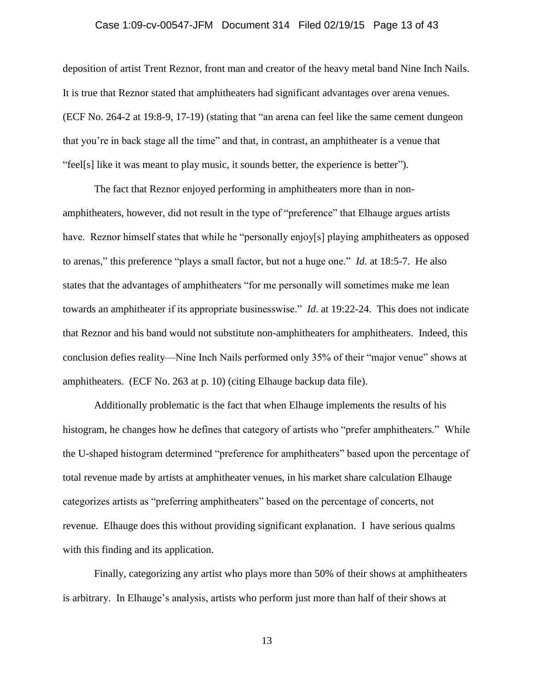#### Case 1:09-cv-00547-JFM Document 314 Filed 02/19/15 Page 13 of 43

deposition of artist Trent Reznor, front man and creator of the heavy metal band Nine Inch Nails. It is true that Reznor stated that amphitheaters had significant advantages over arena venues. (ECF No. 264-2 at 19:8-9, 17-19) (stating that "an arena can feel like the same cement dungeon that you're in back stage all the time" and that, in contrast, an amphitheater is a venue that "feel[s] like it was meant to play music, it sounds better, the experience is better").

The fact that Reznor enjoyed performing in amphitheaters more than in nonamphitheaters, however, did not result in the type of "preference" that Elhauge argues artists have. Reznor himself states that while he "personally enjoy[s] playing amphitheaters as opposed to arenas," this preference "plays a small factor, but not a huge one." *Id.* at 18:5-7. He also states that the advantages of amphitheaters "for me personally will sometimes make me lean towards an amphitheater if its appropriate businesswise." *Id*. at 19:22-24. This does not indicate that Reznor and his band would not substitute non-amphitheaters for amphitheaters. Indeed, this conclusion defies reality—Nine Inch Nails performed only 35% of their "major venue" shows at amphitheaters. (ECF No. 263 at p. 10) (citing Elhauge backup data file).

Additionally problematic is the fact that when Elhauge implements the results of his histogram, he changes how he defines that category of artists who "prefer amphitheaters." While the U-shaped histogram determined "preference for amphitheaters" based upon the percentage of total revenue made by artists at amphitheater venues, in his market share calculation Elhauge categorizes artists as "preferring amphitheaters" based on the percentage of concerts, not revenue. Elhauge does this without providing significant explanation. I have serious qualms with this finding and its application.

Finally, categorizing any artist who plays more than 50% of their shows at amphitheaters is arbitrary. In Elhauge's analysis, artists who perform just more than half of their shows at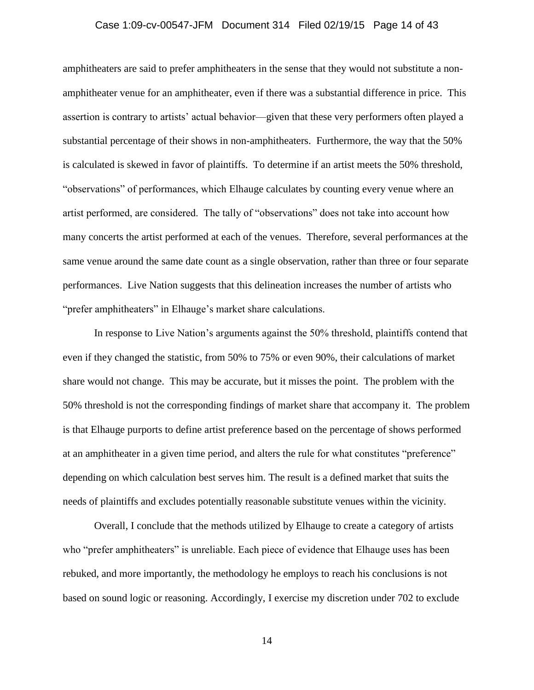### Case 1:09-cv-00547-JFM Document 314 Filed 02/19/15 Page 14 of 43

amphitheaters are said to prefer amphitheaters in the sense that they would not substitute a nonamphitheater venue for an amphitheater, even if there was a substantial difference in price. This assertion is contrary to artists' actual behavior—given that these very performers often played a substantial percentage of their shows in non-amphitheaters. Furthermore, the way that the 50% is calculated is skewed in favor of plaintiffs. To determine if an artist meets the 50% threshold, "observations" of performances, which Elhauge calculates by counting every venue where an artist performed, are considered. The tally of "observations" does not take into account how many concerts the artist performed at each of the venues. Therefore, several performances at the same venue around the same date count as a single observation, rather than three or four separate performances. Live Nation suggests that this delineation increases the number of artists who "prefer amphitheaters" in Elhauge's market share calculations.

In response to Live Nation's arguments against the 50% threshold, plaintiffs contend that even if they changed the statistic, from 50% to 75% or even 90%, their calculations of market share would not change. This may be accurate, but it misses the point. The problem with the 50% threshold is not the corresponding findings of market share that accompany it. The problem is that Elhauge purports to define artist preference based on the percentage of shows performed at an amphitheater in a given time period, and alters the rule for what constitutes "preference" depending on which calculation best serves him. The result is a defined market that suits the needs of plaintiffs and excludes potentially reasonable substitute venues within the vicinity.

Overall, I conclude that the methods utilized by Elhauge to create a category of artists who "prefer amphitheaters" is unreliable. Each piece of evidence that Elhauge uses has been rebuked, and more importantly, the methodology he employs to reach his conclusions is not based on sound logic or reasoning. Accordingly, I exercise my discretion under 702 to exclude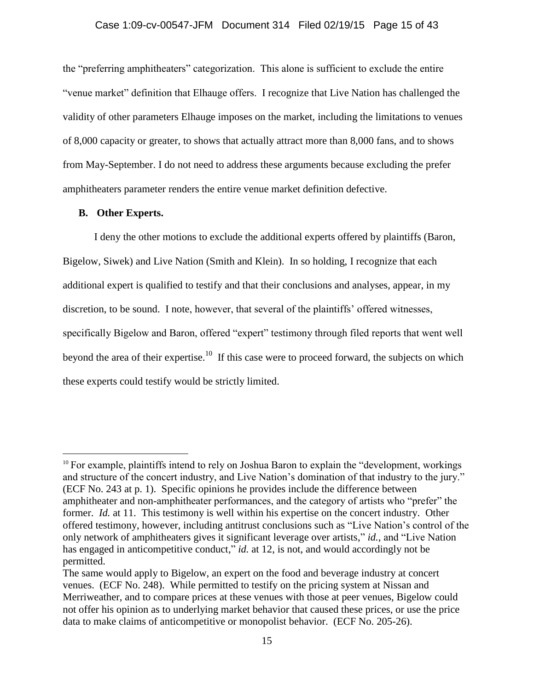### Case 1:09-cv-00547-JFM Document 314 Filed 02/19/15 Page 15 of 43

the "preferring amphitheaters" categorization. This alone is sufficient to exclude the entire "venue market" definition that Elhauge offers. I recognize that Live Nation has challenged the validity of other parameters Elhauge imposes on the market, including the limitations to venues of 8,000 capacity or greater, to shows that actually attract more than 8,000 fans, and to shows from May-September. I do not need to address these arguments because excluding the prefer amphitheaters parameter renders the entire venue market definition defective.

### **B. Other Experts.**

 $\overline{a}$ 

I deny the other motions to exclude the additional experts offered by plaintiffs (Baron, Bigelow, Siwek) and Live Nation (Smith and Klein). In so holding, I recognize that each additional expert is qualified to testify and that their conclusions and analyses, appear, in my discretion, to be sound. I note, however, that several of the plaintiffs' offered witnesses, specifically Bigelow and Baron, offered "expert" testimony through filed reports that went well beyond the area of their expertise.<sup>10</sup> If this case were to proceed forward, the subjects on which these experts could testify would be strictly limited.

<sup>&</sup>lt;sup>10</sup> For example, plaintiffs intend to rely on Joshua Baron to explain the "development, workings" and structure of the concert industry, and Live Nation's domination of that industry to the jury." (ECF No. 243 at p. 1). Specific opinions he provides include the difference between amphitheater and non-amphitheater performances, and the category of artists who "prefer" the former. *Id.* at 11. This testimony is well within his expertise on the concert industry. Other offered testimony, however, including antitrust conclusions such as "Live Nation's control of the only network of amphitheaters gives it significant leverage over artists," *id.*, and "Live Nation has engaged in anticompetitive conduct," *id.* at 12, is not, and would accordingly not be permitted.

The same would apply to Bigelow, an expert on the food and beverage industry at concert venues. (ECF No. 248). While permitted to testify on the pricing system at Nissan and Merriweather, and to compare prices at these venues with those at peer venues, Bigelow could not offer his opinion as to underlying market behavior that caused these prices, or use the price data to make claims of anticompetitive or monopolist behavior. (ECF No. 205-26).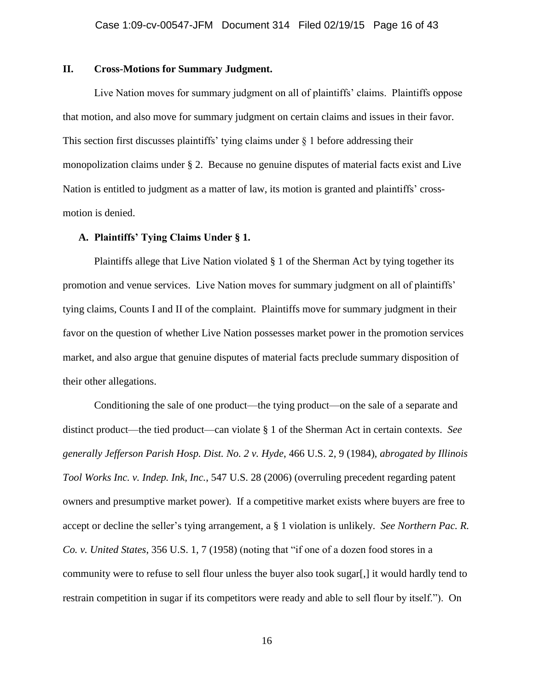# **II. Cross-Motions for Summary Judgment.**

Live Nation moves for summary judgment on all of plaintiffs' claims. Plaintiffs oppose that motion, and also move for summary judgment on certain claims and issues in their favor. This section first discusses plaintiffs' tying claims under  $\S$  1 before addressing their monopolization claims under § 2. Because no genuine disputes of material facts exist and Live Nation is entitled to judgment as a matter of law, its motion is granted and plaintiffs' crossmotion is denied.

#### **A. Plaintiffs' Tying Claims Under § 1.**

Plaintiffs allege that Live Nation violated  $\S 1$  of the Sherman Act by tying together its promotion and venue services. Live Nation moves for summary judgment on all of plaintiffs' tying claims, Counts I and II of the complaint. Plaintiffs move for summary judgment in their favor on the question of whether Live Nation possesses market power in the promotion services market, and also argue that genuine disputes of material facts preclude summary disposition of their other allegations.

Conditioning the sale of one product—the tying product—on the sale of a separate and distinct product—the tied product—can violate § 1 of the Sherman Act in certain contexts. *See generally Jefferson Parish Hosp. Dist. No. 2 v. Hyde*, 466 U.S. 2, 9 (1984), *abrogated by Illinois Tool Works Inc. v. Indep. Ink, Inc.*, 547 U.S. 28 (2006) (overruling precedent regarding patent owners and presumptive market power). If a competitive market exists where buyers are free to accept or decline the seller's tying arrangement, a § 1 violation is unlikely. *See Northern Pac. R. Co. v. United States*, 356 U.S. 1, 7 (1958) (noting that "if one of a dozen food stores in a community were to refuse to sell flour unless the buyer also took sugar[,] it would hardly tend to restrain competition in sugar if its competitors were ready and able to sell flour by itself."). On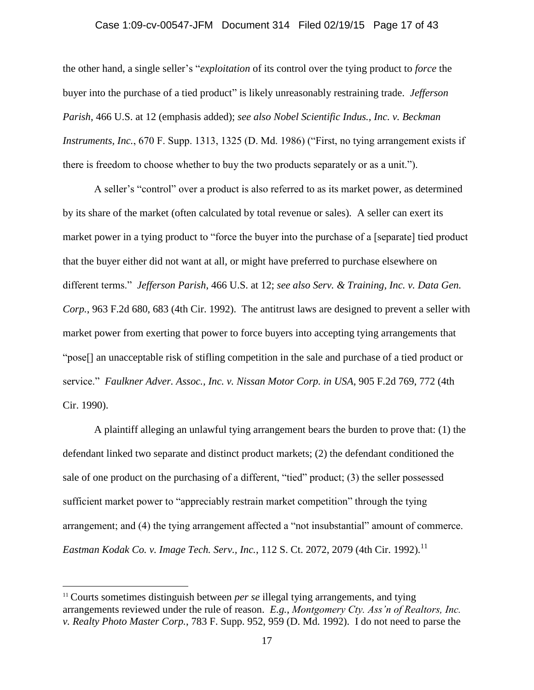# Case 1:09-cv-00547-JFM Document 314 Filed 02/19/15 Page 17 of 43

the other hand, a single seller's "*exploitation* of its control over the tying product to *force* the buyer into the purchase of a tied product" is likely unreasonably restraining trade. *Jefferson Parish*, 466 U.S. at 12 (emphasis added); *see also Nobel Scientific Indus., Inc. v. Beckman Instruments, Inc.*, 670 F. Supp. 1313, 1325 (D. Md. 1986) ("First, no tying arrangement exists if there is freedom to choose whether to buy the two products separately or as a unit.").

A seller's "control" over a product is also referred to as its market power, as determined by its share of the market (often calculated by total revenue or sales). A seller can exert its market power in a tying product to "force the buyer into the purchase of a [separate] tied product that the buyer either did not want at all, or might have preferred to purchase elsewhere on different terms." *Jefferson Parish*, 466 U.S. at 12; *see also Serv. & Training, Inc. v. Data Gen. Corp.*, 963 F.2d 680, 683 (4th Cir. 1992). The antitrust laws are designed to prevent a seller with market power from exerting that power to force buyers into accepting tying arrangements that "pose[] an unacceptable risk of stifling competition in the sale and purchase of a tied product or service." *Faulkner Adver. Assoc., Inc. v. Nissan Motor Corp. in USA*, 905 F.2d 769, 772 (4th Cir. 1990).

A plaintiff alleging an unlawful tying arrangement bears the burden to prove that: (1) the defendant linked two separate and distinct product markets; (2) the defendant conditioned the sale of one product on the purchasing of a different, "tied" product; (3) the seller possessed sufficient market power to "appreciably restrain market competition" through the tying arrangement; and (4) the tying arrangement affected a "not insubstantial" amount of commerce. *Eastman Kodak Co. v. Image Tech. Serv., Inc., 112 S. Ct. 2072, 2079 (4th Cir. 1992).*<sup>11</sup>

 $\overline{a}$ 

<sup>&</sup>lt;sup>11</sup> Courts sometimes distinguish between *per se* illegal tying arrangements, and tying arrangements reviewed under the rule of reason. *E.g.*, *Montgomery Cty. Ass'n of Realtors, Inc. v. Realty Photo Master Corp.*, 783 F. Supp. 952, 959 (D. Md. 1992). I do not need to parse the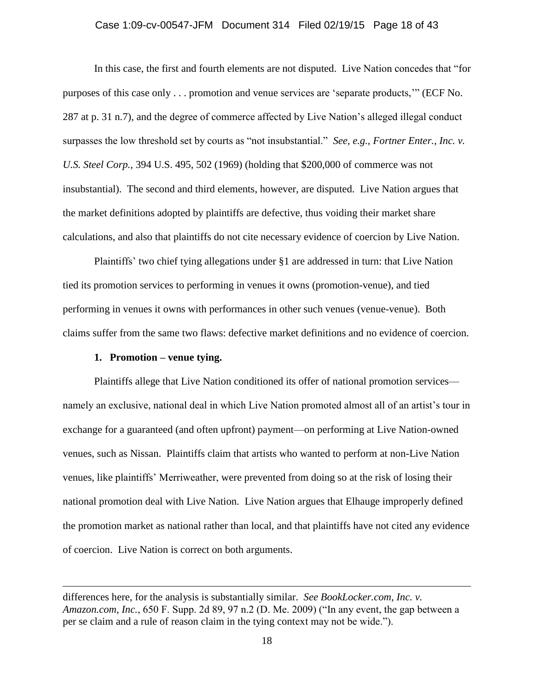### Case 1:09-cv-00547-JFM Document 314 Filed 02/19/15 Page 18 of 43

In this case, the first and fourth elements are not disputed. Live Nation concedes that "for purposes of this case only . . . promotion and venue services are 'separate products,'" (ECF No. 287 at p. 31 n.7), and the degree of commerce affected by Live Nation's alleged illegal conduct surpasses the low threshold set by courts as "not insubstantial." *See, e.g.*, *Fortner Enter., Inc. v. U.S. Steel Corp.*, 394 U.S. 495, 502 (1969) (holding that \$200,000 of commerce was not insubstantial). The second and third elements, however, are disputed. Live Nation argues that the market definitions adopted by plaintiffs are defective, thus voiding their market share calculations, and also that plaintiffs do not cite necessary evidence of coercion by Live Nation.

Plaintiffs' two chief tying allegations under §1 are addressed in turn: that Live Nation tied its promotion services to performing in venues it owns (promotion-venue), and tied performing in venues it owns with performances in other such venues (venue-venue). Both claims suffer from the same two flaws: defective market definitions and no evidence of coercion.

### **1. Promotion – venue tying.**

 $\overline{a}$ 

Plaintiffs allege that Live Nation conditioned its offer of national promotion services namely an exclusive, national deal in which Live Nation promoted almost all of an artist's tour in exchange for a guaranteed (and often upfront) payment—on performing at Live Nation-owned venues, such as Nissan. Plaintiffs claim that artists who wanted to perform at non-Live Nation venues, like plaintiffs' Merriweather, were prevented from doing so at the risk of losing their national promotion deal with Live Nation. Live Nation argues that Elhauge improperly defined the promotion market as national rather than local, and that plaintiffs have not cited any evidence of coercion. Live Nation is correct on both arguments.

differences here, for the analysis is substantially similar. *See BookLocker.com, Inc. v. Amazon.com, Inc.*, 650 F. Supp. 2d 89, 97 n.2 (D. Me. 2009) ("In any event, the gap between a per se claim and a rule of reason claim in the tying context may not be wide.").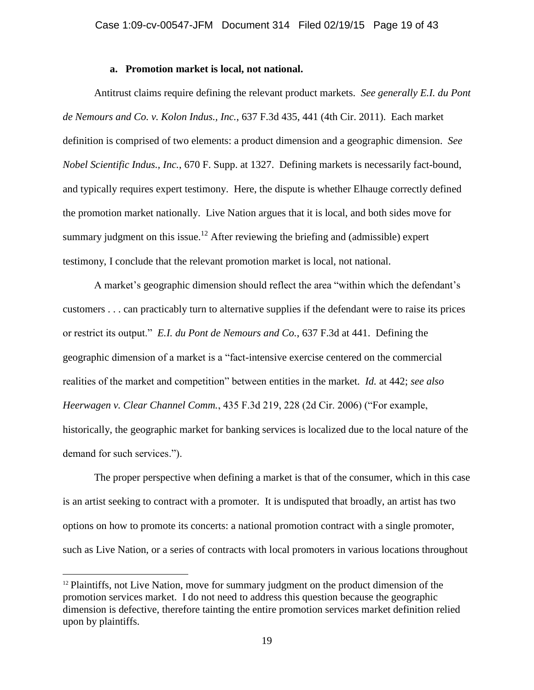### **a. Promotion market is local, not national.**

Antitrust claims require defining the relevant product markets. *See generally E.I. du Pont de Nemours and Co. v. Kolon Indus., Inc.*, 637 F.3d 435, 441 (4th Cir. 2011). Each market definition is comprised of two elements: a product dimension and a geographic dimension. *See Nobel Scientific Indus., Inc.*, 670 F. Supp. at 1327. Defining markets is necessarily fact-bound, and typically requires expert testimony. Here, the dispute is whether Elhauge correctly defined the promotion market nationally. Live Nation argues that it is local, and both sides move for summary judgment on this issue.<sup>12</sup> After reviewing the briefing and (admissible) expert testimony, I conclude that the relevant promotion market is local, not national.

A market's geographic dimension should reflect the area "within which the defendant's customers . . . can practicably turn to alternative supplies if the defendant were to raise its prices or restrict its output." *E.I. du Pont de Nemours and Co.*, 637 F.3d at 441. Defining the geographic dimension of a market is a "fact-intensive exercise centered on the commercial realities of the market and competition" between entities in the market. *Id.* at 442; *see also Heerwagen v. Clear Channel Comm.*, 435 F.3d 219, 228 (2d Cir. 2006) ("For example, historically, the geographic market for banking services is localized due to the local nature of the demand for such services.").

The proper perspective when defining a market is that of the consumer, which in this case is an artist seeking to contract with a promoter. It is undisputed that broadly, an artist has two options on how to promote its concerts: a national promotion contract with a single promoter, such as Live Nation, or a series of contracts with local promoters in various locations throughout

 $\overline{a}$ 

 $12$  Plaintiffs, not Live Nation, move for summary judgment on the product dimension of the promotion services market. I do not need to address this question because the geographic dimension is defective, therefore tainting the entire promotion services market definition relied upon by plaintiffs.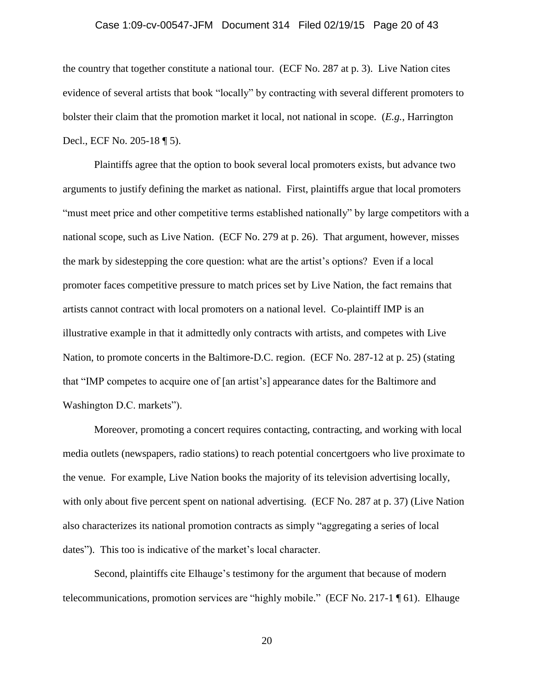#### Case 1:09-cv-00547-JFM Document 314 Filed 02/19/15 Page 20 of 43

the country that together constitute a national tour. (ECF No. 287 at p. 3). Live Nation cites evidence of several artists that book "locally" by contracting with several different promoters to bolster their claim that the promotion market it local, not national in scope. (*E.g.*, Harrington Decl., ECF No. 205-18 ¶ 5).

Plaintiffs agree that the option to book several local promoters exists, but advance two arguments to justify defining the market as national. First, plaintiffs argue that local promoters "must meet price and other competitive terms established nationally" by large competitors with a national scope, such as Live Nation. (ECF No. 279 at p. 26). That argument, however, misses the mark by sidestepping the core question: what are the artist's options? Even if a local promoter faces competitive pressure to match prices set by Live Nation, the fact remains that artists cannot contract with local promoters on a national level. Co-plaintiff IMP is an illustrative example in that it admittedly only contracts with artists, and competes with Live Nation, to promote concerts in the Baltimore-D.C. region. (ECF No. 287-12 at p. 25) (stating that "IMP competes to acquire one of [an artist's] appearance dates for the Baltimore and Washington D.C. markets").

Moreover, promoting a concert requires contacting, contracting, and working with local media outlets (newspapers, radio stations) to reach potential concertgoers who live proximate to the venue. For example, Live Nation books the majority of its television advertising locally, with only about five percent spent on national advertising. (ECF No. 287 at p. 37) (Live Nation also characterizes its national promotion contracts as simply "aggregating a series of local dates"). This too is indicative of the market's local character.

Second, plaintiffs cite Elhauge's testimony for the argument that because of modern telecommunications, promotion services are "highly mobile." (ECF No. 217-1 ¶ 61). Elhauge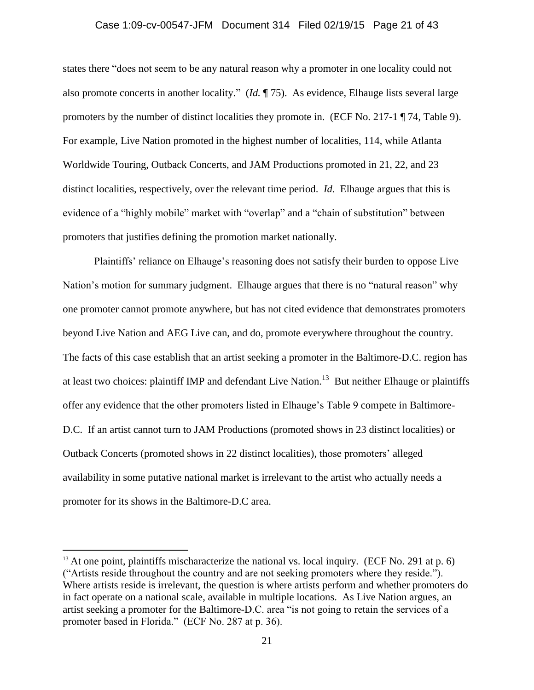### Case 1:09-cv-00547-JFM Document 314 Filed 02/19/15 Page 21 of 43

states there "does not seem to be any natural reason why a promoter in one locality could not also promote concerts in another locality." (*Id.* ¶ 75). As evidence, Elhauge lists several large promoters by the number of distinct localities they promote in. (ECF No. 217-1 ¶ 74, Table 9). For example, Live Nation promoted in the highest number of localities, 114, while Atlanta Worldwide Touring, Outback Concerts, and JAM Productions promoted in 21, 22, and 23 distinct localities, respectively, over the relevant time period. *Id.* Elhauge argues that this is evidence of a "highly mobile" market with "overlap" and a "chain of substitution" between promoters that justifies defining the promotion market nationally.

Plaintiffs' reliance on Elhauge's reasoning does not satisfy their burden to oppose Live Nation's motion for summary judgment. Elhauge argues that there is no "natural reason" why one promoter cannot promote anywhere, but has not cited evidence that demonstrates promoters beyond Live Nation and AEG Live can, and do, promote everywhere throughout the country. The facts of this case establish that an artist seeking a promoter in the Baltimore-D.C. region has at least two choices: plaintiff IMP and defendant Live Nation.<sup>13</sup> But neither Elhauge or plaintiffs offer any evidence that the other promoters listed in Elhauge's Table 9 compete in Baltimore-D.C. If an artist cannot turn to JAM Productions (promoted shows in 23 distinct localities) or Outback Concerts (promoted shows in 22 distinct localities), those promoters' alleged availability in some putative national market is irrelevant to the artist who actually needs a promoter for its shows in the Baltimore-D.C area.

 $\overline{a}$ 

 $13$  At one point, plaintiffs mischaracterize the national vs. local inquiry. (ECF No. 291 at p. 6) ("Artists reside throughout the country and are not seeking promoters where they reside."). Where artists reside is irrelevant, the question is where artists perform and whether promoters do in fact operate on a national scale, available in multiple locations. As Live Nation argues, an artist seeking a promoter for the Baltimore-D.C. area "is not going to retain the services of a promoter based in Florida." (ECF No. 287 at p. 36).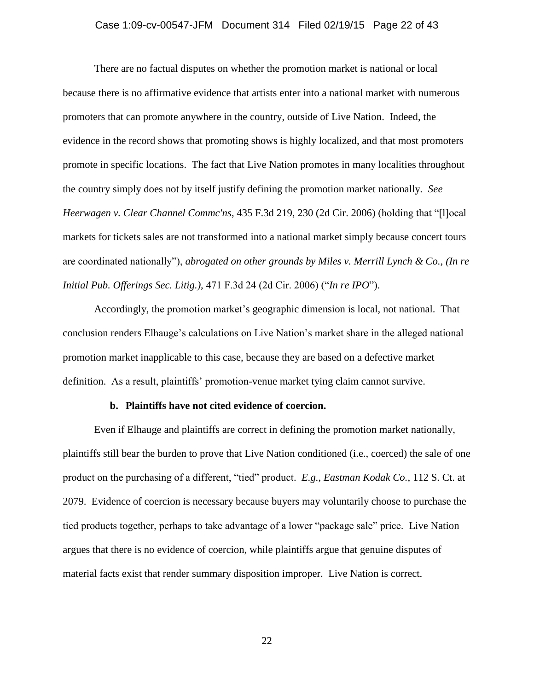### Case 1:09-cv-00547-JFM Document 314 Filed 02/19/15 Page 22 of 43

There are no factual disputes on whether the promotion market is national or local because there is no affirmative evidence that artists enter into a national market with numerous promoters that can promote anywhere in the country, outside of Live Nation. Indeed, the evidence in the record shows that promoting shows is highly localized, and that most promoters promote in specific locations. The fact that Live Nation promotes in many localities throughout the country simply does not by itself justify defining the promotion market nationally. *See Heerwagen v. Clear Channel Commc'ns*, 435 F.3d 219, 230 (2d Cir. 2006) (holding that "[l]ocal markets for tickets sales are not transformed into a national market simply because concert tours are coordinated nationally"), *abrogated on other grounds by Miles v. Merrill Lynch & Co., (In re Initial Pub. Offerings Sec. Litig.)*, 471 F.3d 24 (2d Cir. 2006) ("*In re IPO*").

Accordingly, the promotion market's geographic dimension is local, not national. That conclusion renders Elhauge's calculations on Live Nation's market share in the alleged national promotion market inapplicable to this case, because they are based on a defective market definition. As a result, plaintiffs' promotion-venue market tying claim cannot survive.

#### **b. Plaintiffs have not cited evidence of coercion.**

Even if Elhauge and plaintiffs are correct in defining the promotion market nationally, plaintiffs still bear the burden to prove that Live Nation conditioned (i.e., coerced) the sale of one product on the purchasing of a different, "tied" product. *E.g.*, *Eastman Kodak Co.*, 112 S. Ct. at 2079. Evidence of coercion is necessary because buyers may voluntarily choose to purchase the tied products together, perhaps to take advantage of a lower "package sale" price. Live Nation argues that there is no evidence of coercion, while plaintiffs argue that genuine disputes of material facts exist that render summary disposition improper. Live Nation is correct.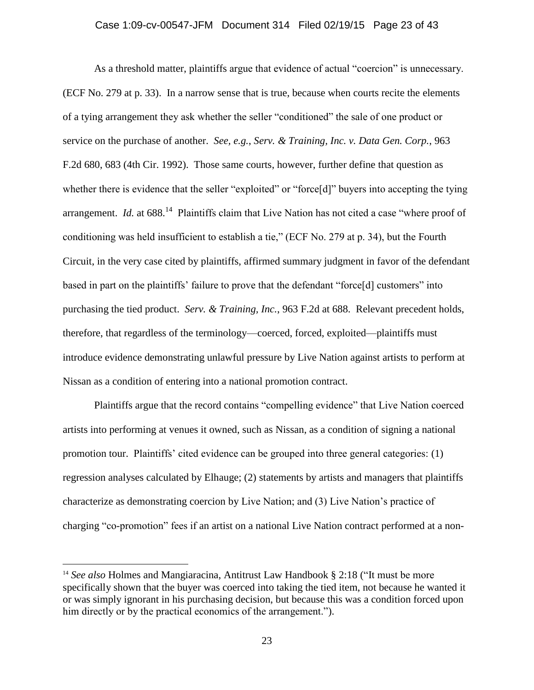As a threshold matter, plaintiffs argue that evidence of actual "coercion" is unnecessary. (ECF No. 279 at p. 33). In a narrow sense that is true, because when courts recite the elements of a tying arrangement they ask whether the seller "conditioned" the sale of one product or service on the purchase of another. *See, e.g.*, *Serv. & Training, Inc. v. Data Gen. Corp.*, 963 F.2d 680, 683 (4th Cir. 1992). Those same courts, however, further define that question as whether there is evidence that the seller "exploited" or "force[d]" buyers into accepting the tying arrangement. *Id.* at 688.<sup>14</sup> Plaintiffs claim that Live Nation has not cited a case "where proof of conditioning was held insufficient to establish a tie," (ECF No. 279 at p. 34), but the Fourth Circuit, in the very case cited by plaintiffs, affirmed summary judgment in favor of the defendant based in part on the plaintiffs' failure to prove that the defendant "force[d] customers" into purchasing the tied product. *Serv. & Training, Inc.*, 963 F.2d at 688. Relevant precedent holds, therefore, that regardless of the terminology—coerced, forced, exploited—plaintiffs must introduce evidence demonstrating unlawful pressure by Live Nation against artists to perform at Nissan as a condition of entering into a national promotion contract.

Plaintiffs argue that the record contains "compelling evidence" that Live Nation coerced artists into performing at venues it owned, such as Nissan, as a condition of signing a national promotion tour. Plaintiffs' cited evidence can be grouped into three general categories: (1) regression analyses calculated by Elhauge; (2) statements by artists and managers that plaintiffs characterize as demonstrating coercion by Live Nation; and (3) Live Nation's practice of charging "co-promotion" fees if an artist on a national Live Nation contract performed at a non-

 $\overline{a}$ 

<sup>&</sup>lt;sup>14</sup> See also Holmes and Mangiaracina, Antitrust Law Handbook § 2:18 ("It must be more specifically shown that the buyer was coerced into taking the tied item, not because he wanted it or was simply ignorant in his purchasing decision, but because this was a condition forced upon him directly or by the practical economics of the arrangement.").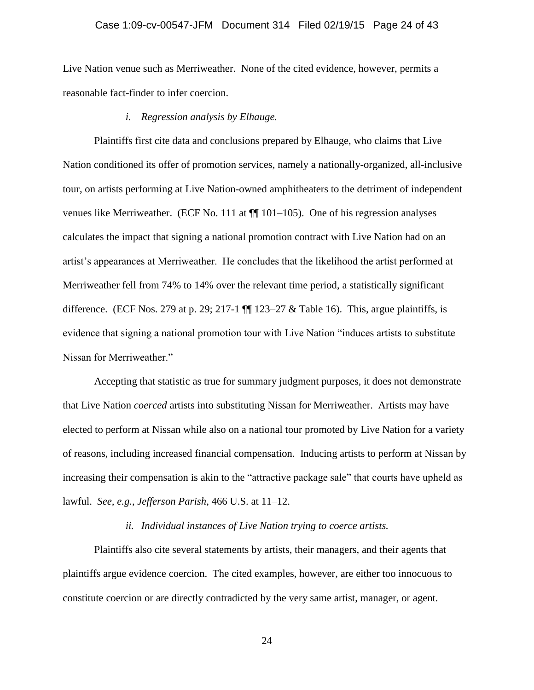#### Case 1:09-cv-00547-JFM Document 314 Filed 02/19/15 Page 24 of 43

Live Nation venue such as Merriweather. None of the cited evidence, however, permits a reasonable fact-finder to infer coercion.

#### *i. Regression analysis by Elhauge.*

Plaintiffs first cite data and conclusions prepared by Elhauge, who claims that Live Nation conditioned its offer of promotion services, namely a nationally-organized, all-inclusive tour, on artists performing at Live Nation-owned amphitheaters to the detriment of independent venues like Merriweather. (ECF No. 111 at ¶¶ 101–105). One of his regression analyses calculates the impact that signing a national promotion contract with Live Nation had on an artist's appearances at Merriweather. He concludes that the likelihood the artist performed at Merriweather fell from 74% to 14% over the relevant time period, a statistically significant difference. (ECF Nos. 279 at p. 29; 217-1  $\P$  123–27 & Table 16). This, argue plaintiffs, is evidence that signing a national promotion tour with Live Nation "induces artists to substitute Nissan for Merriweather."

Accepting that statistic as true for summary judgment purposes, it does not demonstrate that Live Nation *coerced* artists into substituting Nissan for Merriweather. Artists may have elected to perform at Nissan while also on a national tour promoted by Live Nation for a variety of reasons, including increased financial compensation. Inducing artists to perform at Nissan by increasing their compensation is akin to the "attractive package sale" that courts have upheld as lawful. *See, e.g.*, *Jefferson Parish*, 466 U.S. at 11–12.

#### *ii. Individual instances of Live Nation trying to coerce artists.*

Plaintiffs also cite several statements by artists, their managers, and their agents that plaintiffs argue evidence coercion. The cited examples, however, are either too innocuous to constitute coercion or are directly contradicted by the very same artist, manager, or agent.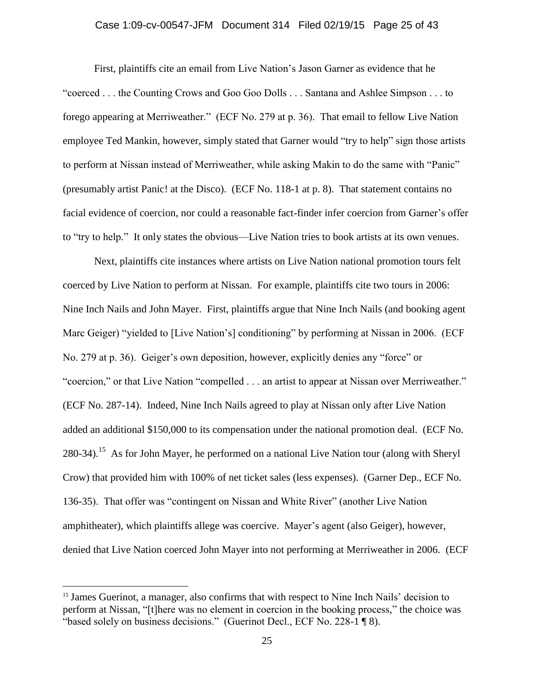# Case 1:09-cv-00547-JFM Document 314 Filed 02/19/15 Page 25 of 43

First, plaintiffs cite an email from Live Nation's Jason Garner as evidence that he "coerced . . . the Counting Crows and Goo Goo Dolls . . . Santana and Ashlee Simpson . . . to forego appearing at Merriweather." (ECF No. 279 at p. 36). That email to fellow Live Nation employee Ted Mankin, however, simply stated that Garner would "try to help" sign those artists to perform at Nissan instead of Merriweather, while asking Makin to do the same with "Panic" (presumably artist Panic! at the Disco). (ECF No. 118-1 at p. 8). That statement contains no facial evidence of coercion, nor could a reasonable fact-finder infer coercion from Garner's offer to "try to help." It only states the obvious—Live Nation tries to book artists at its own venues.

Next, plaintiffs cite instances where artists on Live Nation national promotion tours felt coerced by Live Nation to perform at Nissan. For example, plaintiffs cite two tours in 2006: Nine Inch Nails and John Mayer. First, plaintiffs argue that Nine Inch Nails (and booking agent Marc Geiger) "yielded to [Live Nation's] conditioning" by performing at Nissan in 2006. (ECF No. 279 at p. 36). Geiger's own deposition, however, explicitly denies any "force" or "coercion," or that Live Nation "compelled . . . an artist to appear at Nissan over Merriweather." (ECF No. 287-14). Indeed, Nine Inch Nails agreed to play at Nissan only after Live Nation added an additional \$150,000 to its compensation under the national promotion deal. (ECF No. 280-34).<sup>15</sup> As for John Mayer, he performed on a national Live Nation tour (along with Sheryl Crow) that provided him with 100% of net ticket sales (less expenses). (Garner Dep., ECF No. 136-35). That offer was "contingent on Nissan and White River" (another Live Nation amphitheater), which plaintiffs allege was coercive. Mayer's agent (also Geiger), however, denied that Live Nation coerced John Mayer into not performing at Merriweather in 2006. (ECF

 $\overline{a}$ 

<sup>&</sup>lt;sup>15</sup> James Guerinot, a manager, also confirms that with respect to Nine Inch Nails' decision to perform at Nissan, "[t]here was no element in coercion in the booking process," the choice was "based solely on business decisions." (Guerinot Decl., ECF No. 228-1 ¶ 8).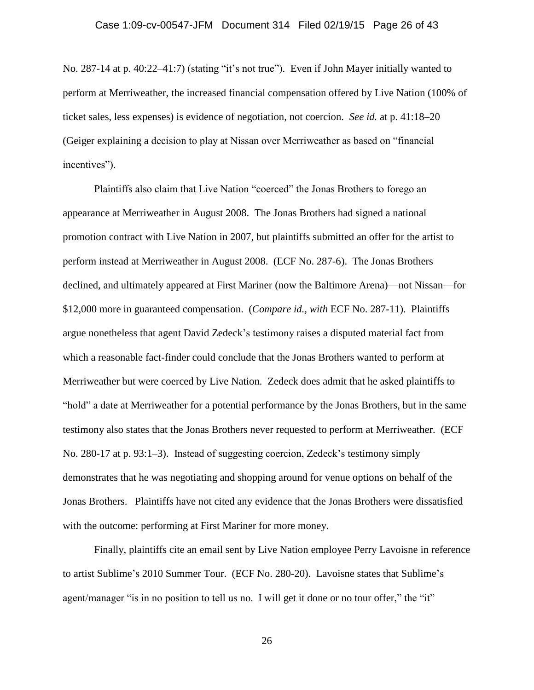No. 287-14 at p. 40:22–41:7) (stating "it's not true"). Even if John Mayer initially wanted to perform at Merriweather, the increased financial compensation offered by Live Nation (100% of ticket sales, less expenses) is evidence of negotiation, not coercion. *See id.* at p. 41:18–20 (Geiger explaining a decision to play at Nissan over Merriweather as based on "financial incentives").

Plaintiffs also claim that Live Nation "coerced" the Jonas Brothers to forego an appearance at Merriweather in August 2008. The Jonas Brothers had signed a national promotion contract with Live Nation in 2007, but plaintiffs submitted an offer for the artist to perform instead at Merriweather in August 2008. (ECF No. 287-6). The Jonas Brothers declined, and ultimately appeared at First Mariner (now the Baltimore Arena)—not Nissan—for \$12,000 more in guaranteed compensation. (*Compare id.*, *with* ECF No. 287-11). Plaintiffs argue nonetheless that agent David Zedeck's testimony raises a disputed material fact from which a reasonable fact-finder could conclude that the Jonas Brothers wanted to perform at Merriweather but were coerced by Live Nation. Zedeck does admit that he asked plaintiffs to "hold" a date at Merriweather for a potential performance by the Jonas Brothers, but in the same testimony also states that the Jonas Brothers never requested to perform at Merriweather. (ECF No. 280-17 at p. 93:1–3). Instead of suggesting coercion, Zedeck's testimony simply demonstrates that he was negotiating and shopping around for venue options on behalf of the Jonas Brothers. Plaintiffs have not cited any evidence that the Jonas Brothers were dissatisfied with the outcome: performing at First Mariner for more money.

Finally, plaintiffs cite an email sent by Live Nation employee Perry Lavoisne in reference to artist Sublime's 2010 Summer Tour. (ECF No. 280-20). Lavoisne states that Sublime's agent/manager "is in no position to tell us no. I will get it done or no tour offer," the "it"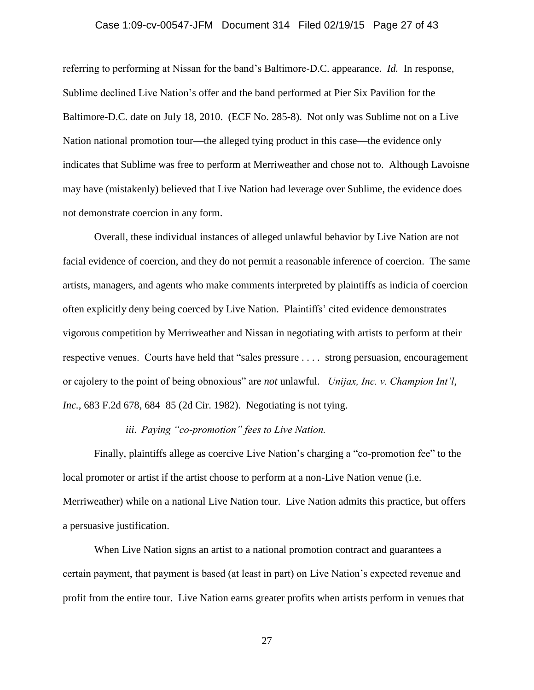### Case 1:09-cv-00547-JFM Document 314 Filed 02/19/15 Page 27 of 43

referring to performing at Nissan for the band's Baltimore-D.C. appearance. *Id.* In response, Sublime declined Live Nation's offer and the band performed at Pier Six Pavilion for the Baltimore-D.C. date on July 18, 2010. (ECF No. 285-8). Not only was Sublime not on a Live Nation national promotion tour—the alleged tying product in this case—the evidence only indicates that Sublime was free to perform at Merriweather and chose not to. Although Lavoisne may have (mistakenly) believed that Live Nation had leverage over Sublime, the evidence does not demonstrate coercion in any form.

Overall, these individual instances of alleged unlawful behavior by Live Nation are not facial evidence of coercion, and they do not permit a reasonable inference of coercion. The same artists, managers, and agents who make comments interpreted by plaintiffs as indicia of coercion often explicitly deny being coerced by Live Nation. Plaintiffs' cited evidence demonstrates vigorous competition by Merriweather and Nissan in negotiating with artists to perform at their respective venues. Courts have held that "sales pressure . . . . strong persuasion, encouragement or cajolery to the point of being obnoxious" are *not* unlawful. *Unijax, Inc. v. Champion Int'l*, *Inc.*, 683 F.2d 678, 684–85 (2d Cir. 1982). Negotiating is not tying.

# *iii. Paying "co-promotion" fees to Live Nation.*

Finally, plaintiffs allege as coercive Live Nation's charging a "co-promotion fee" to the local promoter or artist if the artist choose to perform at a non-Live Nation venue (i.e. Merriweather) while on a national Live Nation tour. Live Nation admits this practice, but offers a persuasive justification.

When Live Nation signs an artist to a national promotion contract and guarantees a certain payment, that payment is based (at least in part) on Live Nation's expected revenue and profit from the entire tour. Live Nation earns greater profits when artists perform in venues that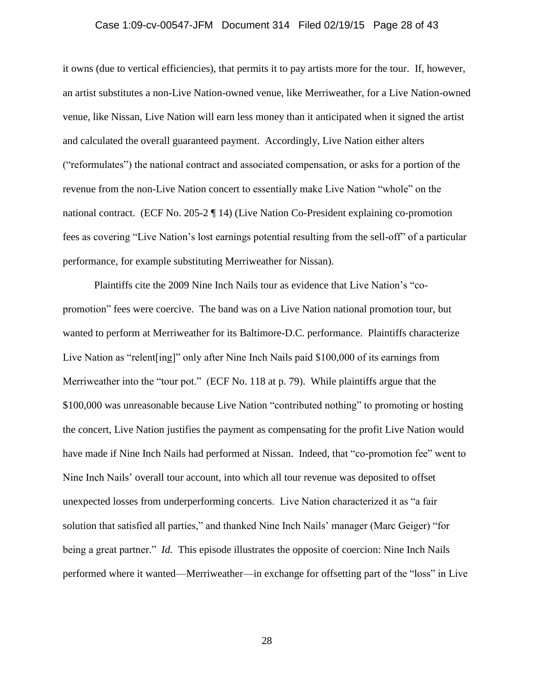#### Case 1:09-cv-00547-JFM Document 314 Filed 02/19/15 Page 28 of 43

it owns (due to vertical efficiencies), that permits it to pay artists more for the tour. If, however, an artist substitutes a non-Live Nation-owned venue, like Merriweather, for a Live Nation-owned venue, like Nissan, Live Nation will earn less money than it anticipated when it signed the artist and calculated the overall guaranteed payment. Accordingly, Live Nation either alters ("reformulates") the national contract and associated compensation, or asks for a portion of the revenue from the non-Live Nation concert to essentially make Live Nation "whole" on the national contract. (ECF No. 205-2 ¶ 14) (Live Nation Co-President explaining co-promotion fees as covering "Live Nation's lost earnings potential resulting from the sell-off" of a particular performance, for example substituting Merriweather for Nissan).

Plaintiffs cite the 2009 Nine Inch Nails tour as evidence that Live Nation's "copromotion" fees were coercive. The band was on a Live Nation national promotion tour, but wanted to perform at Merriweather for its Baltimore-D.C. performance. Plaintiffs characterize Live Nation as "relent[ing]" only after Nine Inch Nails paid \$100,000 of its earnings from Merriweather into the "tour pot." (ECF No. 118 at p. 79). While plaintiffs argue that the \$100,000 was unreasonable because Live Nation "contributed nothing" to promoting or hosting the concert, Live Nation justifies the payment as compensating for the profit Live Nation would have made if Nine Inch Nails had performed at Nissan. Indeed, that "co-promotion fee" went to Nine Inch Nails' overall tour account, into which all tour revenue was deposited to offset unexpected losses from underperforming concerts. Live Nation characterized it as "a fair solution that satisfied all parties," and thanked Nine Inch Nails' manager (Marc Geiger) "for being a great partner." *Id.* This episode illustrates the opposite of coercion: Nine Inch Nails performed where it wanted—Merriweather—in exchange for offsetting part of the "loss" in Live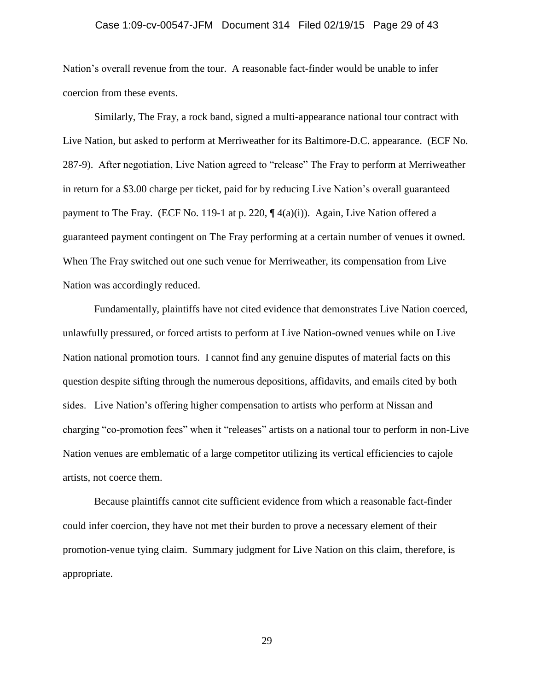#### Case 1:09-cv-00547-JFM Document 314 Filed 02/19/15 Page 29 of 43

Nation's overall revenue from the tour. A reasonable fact-finder would be unable to infer coercion from these events.

Similarly, The Fray, a rock band, signed a multi-appearance national tour contract with Live Nation, but asked to perform at Merriweather for its Baltimore-D.C. appearance. (ECF No. 287-9). After negotiation, Live Nation agreed to "release" The Fray to perform at Merriweather in return for a \$3.00 charge per ticket, paid for by reducing Live Nation's overall guaranteed payment to The Fray. (ECF No. 119-1 at p. 220,  $\P$  4(a)(i)). Again, Live Nation offered a guaranteed payment contingent on The Fray performing at a certain number of venues it owned. When The Fray switched out one such venue for Merriweather, its compensation from Live Nation was accordingly reduced.

Fundamentally, plaintiffs have not cited evidence that demonstrates Live Nation coerced, unlawfully pressured, or forced artists to perform at Live Nation-owned venues while on Live Nation national promotion tours. I cannot find any genuine disputes of material facts on this question despite sifting through the numerous depositions, affidavits, and emails cited by both sides. Live Nation's offering higher compensation to artists who perform at Nissan and charging "co-promotion fees" when it "releases" artists on a national tour to perform in non-Live Nation venues are emblematic of a large competitor utilizing its vertical efficiencies to cajole artists, not coerce them.

Because plaintiffs cannot cite sufficient evidence from which a reasonable fact-finder could infer coercion, they have not met their burden to prove a necessary element of their promotion-venue tying claim. Summary judgment for Live Nation on this claim, therefore, is appropriate.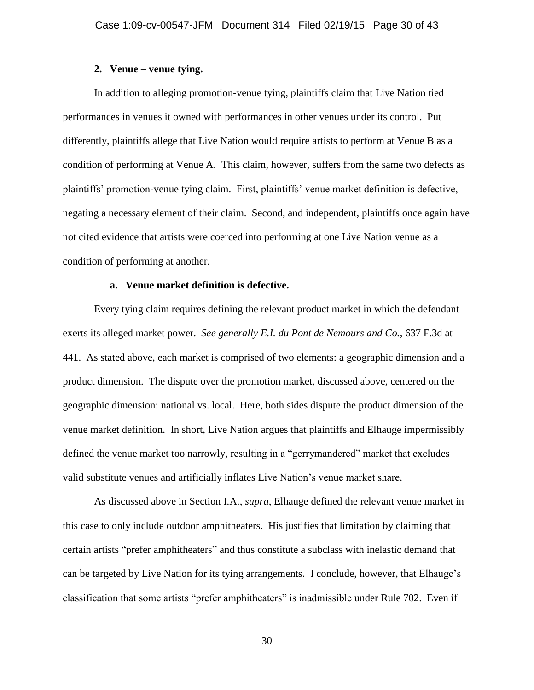### **2. Venue – venue tying.**

In addition to alleging promotion-venue tying, plaintiffs claim that Live Nation tied performances in venues it owned with performances in other venues under its control. Put differently, plaintiffs allege that Live Nation would require artists to perform at Venue B as a condition of performing at Venue A. This claim, however, suffers from the same two defects as plaintiffs' promotion-venue tying claim. First, plaintiffs' venue market definition is defective, negating a necessary element of their claim. Second, and independent, plaintiffs once again have not cited evidence that artists were coerced into performing at one Live Nation venue as a condition of performing at another.

### **a. Venue market definition is defective.**

Every tying claim requires defining the relevant product market in which the defendant exerts its alleged market power. *See generally E.I. du Pont de Nemours and Co.*, 637 F.3d at 441. As stated above, each market is comprised of two elements: a geographic dimension and a product dimension. The dispute over the promotion market, discussed above, centered on the geographic dimension: national vs. local. Here, both sides dispute the product dimension of the venue market definition. In short, Live Nation argues that plaintiffs and Elhauge impermissibly defined the venue market too narrowly, resulting in a "gerrymandered" market that excludes valid substitute venues and artificially inflates Live Nation's venue market share.

As discussed above in Section I.A., *supra*, Elhauge defined the relevant venue market in this case to only include outdoor amphitheaters. His justifies that limitation by claiming that certain artists "prefer amphitheaters" and thus constitute a subclass with inelastic demand that can be targeted by Live Nation for its tying arrangements. I conclude, however, that Elhauge's classification that some artists "prefer amphitheaters" is inadmissible under Rule 702. Even if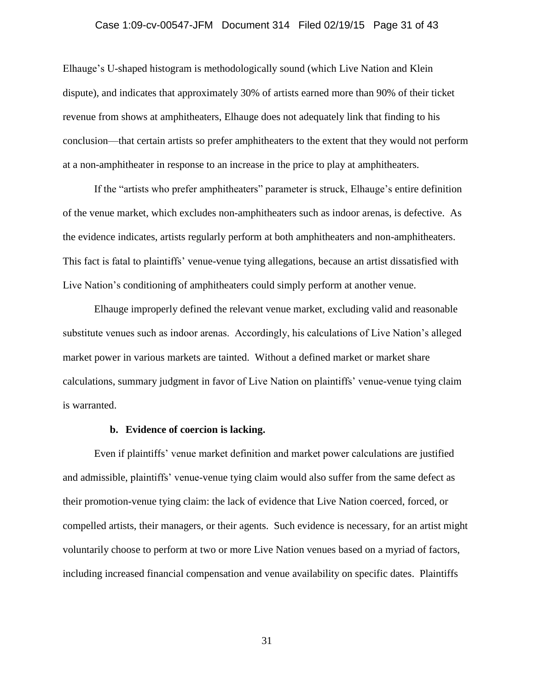#### Case 1:09-cv-00547-JFM Document 314 Filed 02/19/15 Page 31 of 43

Elhauge's U-shaped histogram is methodologically sound (which Live Nation and Klein dispute), and indicates that approximately 30% of artists earned more than 90% of their ticket revenue from shows at amphitheaters, Elhauge does not adequately link that finding to his conclusion—that certain artists so prefer amphitheaters to the extent that they would not perform at a non-amphitheater in response to an increase in the price to play at amphitheaters.

If the "artists who prefer amphitheaters" parameter is struck, Elhauge's entire definition of the venue market, which excludes non-amphitheaters such as indoor arenas, is defective. As the evidence indicates, artists regularly perform at both amphitheaters and non-amphitheaters. This fact is fatal to plaintiffs' venue-venue tying allegations, because an artist dissatisfied with Live Nation's conditioning of amphitheaters could simply perform at another venue.

Elhauge improperly defined the relevant venue market, excluding valid and reasonable substitute venues such as indoor arenas. Accordingly, his calculations of Live Nation's alleged market power in various markets are tainted. Without a defined market or market share calculations, summary judgment in favor of Live Nation on plaintiffs' venue-venue tying claim is warranted.

#### **b. Evidence of coercion is lacking.**

Even if plaintiffs' venue market definition and market power calculations are justified and admissible, plaintiffs' venue-venue tying claim would also suffer from the same defect as their promotion-venue tying claim: the lack of evidence that Live Nation coerced, forced, or compelled artists, their managers, or their agents. Such evidence is necessary, for an artist might voluntarily choose to perform at two or more Live Nation venues based on a myriad of factors, including increased financial compensation and venue availability on specific dates. Plaintiffs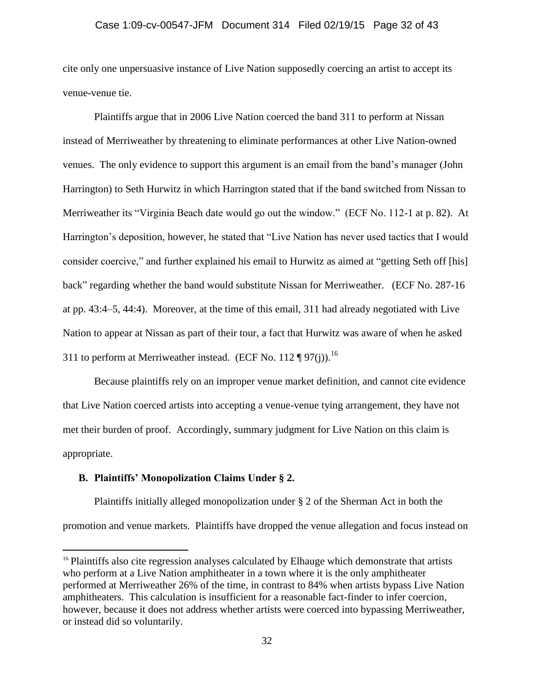cite only one unpersuasive instance of Live Nation supposedly coercing an artist to accept its venue-venue tie.

Plaintiffs argue that in 2006 Live Nation coerced the band 311 to perform at Nissan instead of Merriweather by threatening to eliminate performances at other Live Nation-owned venues. The only evidence to support this argument is an email from the band's manager (John Harrington) to Seth Hurwitz in which Harrington stated that if the band switched from Nissan to Merriweather its "Virginia Beach date would go out the window." (ECF No. 112-1 at p. 82). At Harrington's deposition, however, he stated that "Live Nation has never used tactics that I would consider coercive," and further explained his email to Hurwitz as aimed at "getting Seth off [his] back" regarding whether the band would substitute Nissan for Merriweather. (ECF No. 287-16 at pp. 43:4–5, 44:4). Moreover, at the time of this email, 311 had already negotiated with Live Nation to appear at Nissan as part of their tour, a fact that Hurwitz was aware of when he asked 311 to perform at Merriweather instead. (ECF No. 112 ¶ 97(j)).<sup>16</sup>

Because plaintiffs rely on an improper venue market definition, and cannot cite evidence that Live Nation coerced artists into accepting a venue-venue tying arrangement, they have not met their burden of proof. Accordingly, summary judgment for Live Nation on this claim is appropriate.

### **B. Plaintiffs' Monopolization Claims Under § 2.**

 $\overline{a}$ 

Plaintiffs initially alleged monopolization under § 2 of the Sherman Act in both the promotion and venue markets. Plaintiffs have dropped the venue allegation and focus instead on

<sup>&</sup>lt;sup>16</sup> Plaintiffs also cite regression analyses calculated by Elhauge which demonstrate that artists who perform at a Live Nation amphitheater in a town where it is the only amphitheater performed at Merriweather 26% of the time, in contrast to 84% when artists bypass Live Nation amphitheaters. This calculation is insufficient for a reasonable fact-finder to infer coercion, however, because it does not address whether artists were coerced into bypassing Merriweather, or instead did so voluntarily.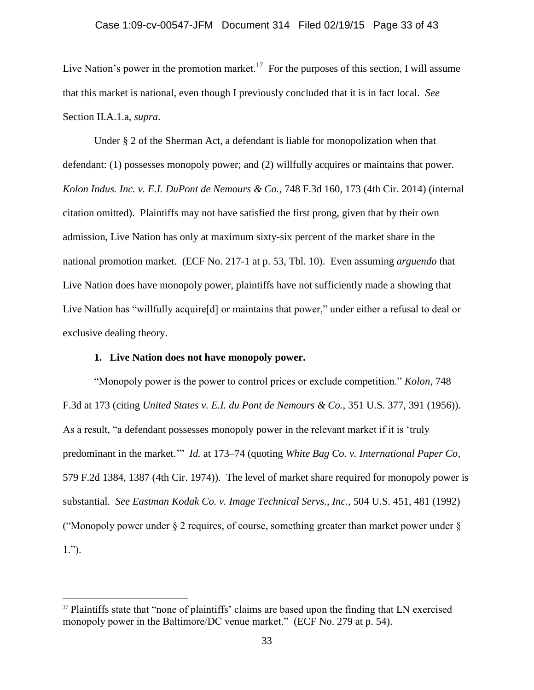Live Nation's power in the promotion market.<sup>17</sup> For the purposes of this section, I will assume that this market is national, even though I previously concluded that it is in fact local. *See* Section II.A.1.a, *supra*.

Under § 2 of the Sherman Act, a defendant is liable for monopolization when that defendant: (1) possesses monopoly power; and (2) willfully acquires or maintains that power. *Kolon Indus. Inc. v. E.I. DuPont de Nemours & Co.,* 748 F.3d 160, 173 (4th Cir. 2014) (internal citation omitted). Plaintiffs may not have satisfied the first prong, given that by their own admission, Live Nation has only at maximum sixty-six percent of the market share in the national promotion market. (ECF No. 217-1 at p. 53, Tbl. 10). Even assuming *arguendo* that Live Nation does have monopoly power, plaintiffs have not sufficiently made a showing that Live Nation has "willfully acquire[d] or maintains that power," under either a refusal to deal or exclusive dealing theory.

# **1. Live Nation does not have monopoly power.**

 $\overline{a}$ 

"Monopoly power is the power to control prices or exclude competition." *Kolon,* 748 F.3d at 173 (citing *United States v. E.I. du Pont de Nemours & Co.,* 351 U.S. 377, 391 (1956)). As a result, "a defendant possesses monopoly power in the relevant market if it is 'truly predominant in the market.'" *Id.* at 173–74 (quoting *White Bag Co. v. International Paper Co,* 579 F.2d 1384, 1387 (4th Cir. 1974)). The level of market share required for monopoly power is substantial. *See Eastman Kodak Co. v. Image Technical Servs., Inc.,* 504 U.S. 451, 481 (1992) ("Monopoly power under  $\S 2$  requires, of course, something greater than market power under  $\S$ 1.").

<sup>&</sup>lt;sup>17</sup> Plaintiffs state that "none of plaintiffs' claims are based upon the finding that LN exercised monopoly power in the Baltimore/DC venue market." (ECF No. 279 at p. 54).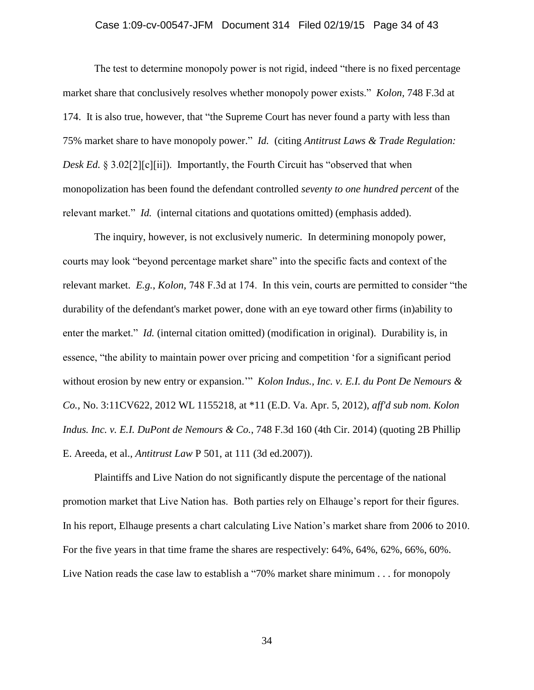#### Case 1:09-cv-00547-JFM Document 314 Filed 02/19/15 Page 34 of 43

The test to determine monopoly power is not rigid, indeed "there is no fixed percentage market share that conclusively resolves whether monopoly power exists." *Kolon,* 748 F.3d at 174. It is also true, however, that "the Supreme Court has never found a party with less than 75% market share to have monopoly power." *Id.* (citing *Antitrust Laws & Trade Regulation: Desk Ed.* § 3.02[2][c][ii]). Importantly, the Fourth Circuit has "observed that when monopolization has been found the defendant controlled *seventy to one hundred percent* of the relevant market." *Id.* (internal citations and quotations omitted) (emphasis added).

The inquiry, however, is not exclusively numeric. In determining monopoly power, courts may look "beyond percentage market share" into the specific facts and context of the relevant market. *E.g.*, *Kolon,* 748 F.3d at 174. In this vein, courts are permitted to consider "the durability of the defendant's market power, done with an eye toward other firms (in)ability to enter the market." *Id.* (internal citation omitted) (modification in original). Durability is, in essence, "the ability to maintain power over pricing and competition 'for a significant period without erosion by new entry or expansion.'" *Kolon Indus., Inc. v. E.I. du Pont De Nemours & Co.,* No. 3:11CV622, 2012 WL 1155218, at \*11 (E.D. Va. Apr. 5, 2012), *aff'd sub nom. Kolon Indus. Inc. v. E.I. DuPont de Nemours & Co.*, 748 F.3d 160 (4th Cir. 2014) (quoting 2B Phillip E. Areeda, et al., *Antitrust Law* P 501, at 111 (3d ed.2007)).

Plaintiffs and Live Nation do not significantly dispute the percentage of the national promotion market that Live Nation has. Both parties rely on Elhauge's report for their figures. In his report, Elhauge presents a chart calculating Live Nation's market share from 2006 to 2010. For the five years in that time frame the shares are respectively: 64%, 64%, 62%, 66%, 60%. Live Nation reads the case law to establish a "70% market share minimum . . . for monopoly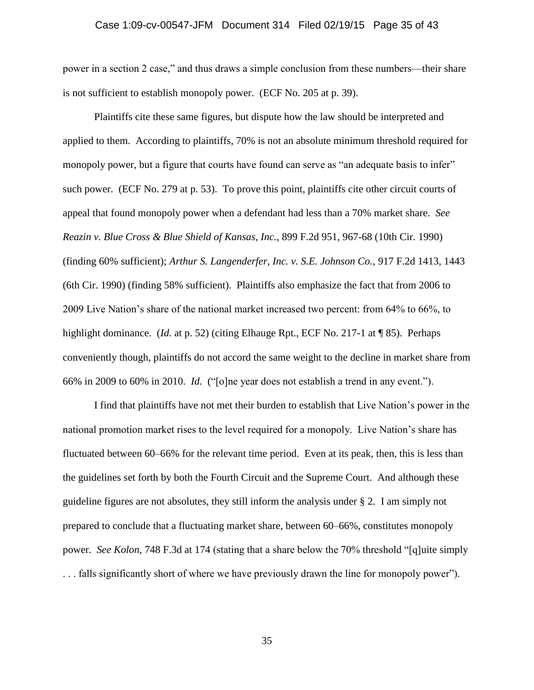#### Case 1:09-cv-00547-JFM Document 314 Filed 02/19/15 Page 35 of 43

power in a section 2 case," and thus draws a simple conclusion from these numbers—their share is not sufficient to establish monopoly power. (ECF No. 205 at p. 39).

Plaintiffs cite these same figures, but dispute how the law should be interpreted and applied to them. According to plaintiffs, 70% is not an absolute minimum threshold required for monopoly power, but a figure that courts have found can serve as "an adequate basis to infer" such power. (ECF No. 279 at p. 53). To prove this point, plaintiffs cite other circuit courts of appeal that found monopoly power when a defendant had less than a 70% market share. *See Reazin v. Blue Cross & Blue Shield of Kansas, Inc.,* 899 F.2d 951, 967-68 (10th Cir. 1990) (finding 60% sufficient); *Arthur S. Langenderfer, Inc. v. S.E. Johnson Co.,* 917 F.2d 1413, 1443 (6th Cir. 1990) (finding 58% sufficient). Plaintiffs also emphasize the fact that from 2006 to 2009 Live Nation's share of the national market increased two percent: from 64% to 66%, to highlight dominance. (*Id.* at p. 52) (citing Elhauge Rpt., ECF No. 217-1 at ¶ 85). Perhaps conveniently though, plaintiffs do not accord the same weight to the decline in market share from 66% in 2009 to 60% in 2010. *Id.* ("[o]ne year does not establish a trend in any event.").

I find that plaintiffs have not met their burden to establish that Live Nation's power in the national promotion market rises to the level required for a monopoly. Live Nation's share has fluctuated between 60–66% for the relevant time period. Even at its peak, then, this is less than the guidelines set forth by both the Fourth Circuit and the Supreme Court. And although these guideline figures are not absolutes, they still inform the analysis under § 2. I am simply not prepared to conclude that a fluctuating market share, between 60–66%, constitutes monopoly power. *See Kolon*, 748 F.3d at 174 (stating that a share below the 70% threshold "[q]uite simply . . . falls significantly short of where we have previously drawn the line for monopoly power").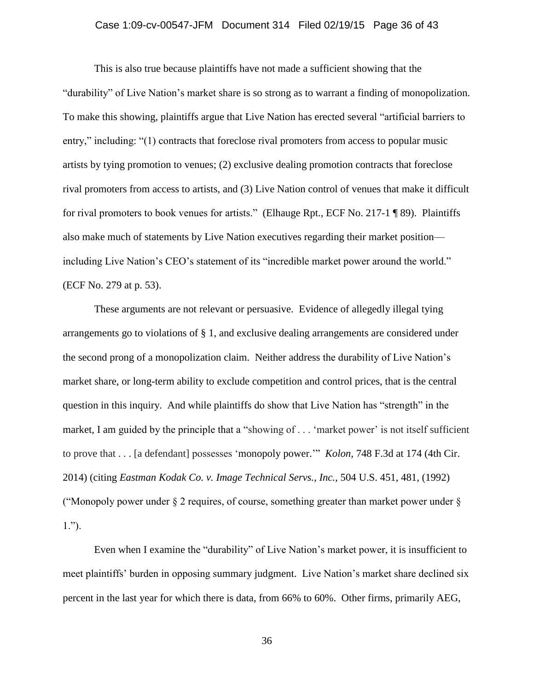### Case 1:09-cv-00547-JFM Document 314 Filed 02/19/15 Page 36 of 43

This is also true because plaintiffs have not made a sufficient showing that the "durability" of Live Nation's market share is so strong as to warrant a finding of monopolization. To make this showing, plaintiffs argue that Live Nation has erected several "artificial barriers to entry," including: "(1) contracts that foreclose rival promoters from access to popular music artists by tying promotion to venues; (2) exclusive dealing promotion contracts that foreclose rival promoters from access to artists, and (3) Live Nation control of venues that make it difficult for rival promoters to book venues for artists." (Elhauge Rpt., ECF No. 217-1 ¶ 89). Plaintiffs also make much of statements by Live Nation executives regarding their market position including Live Nation's CEO's statement of its "incredible market power around the world." (ECF No. 279 at p. 53).

These arguments are not relevant or persuasive. Evidence of allegedly illegal tying arrangements go to violations of § 1, and exclusive dealing arrangements are considered under the second prong of a monopolization claim. Neither address the durability of Live Nation's market share, or long-term ability to exclude competition and control prices, that is the central question in this inquiry. And while plaintiffs do show that Live Nation has "strength" in the market, I am guided by the principle that a "showing of . . . 'market power' is not itself sufficient to prove that . . . [a defendant] possesses 'monopoly power.'" *Kolon,* 748 F.3d at 174 (4th Cir. 2014) (citing *Eastman Kodak Co. v. Image Technical Servs., Inc.,* 504 U.S. 451, 481, (1992) ("Monopoly power under  $\S 2$  requires, of course, something greater than market power under  $\S$ 1.").

Even when I examine the "durability" of Live Nation's market power, it is insufficient to meet plaintiffs' burden in opposing summary judgment. Live Nation's market share declined six percent in the last year for which there is data, from 66% to 60%. Other firms, primarily AEG,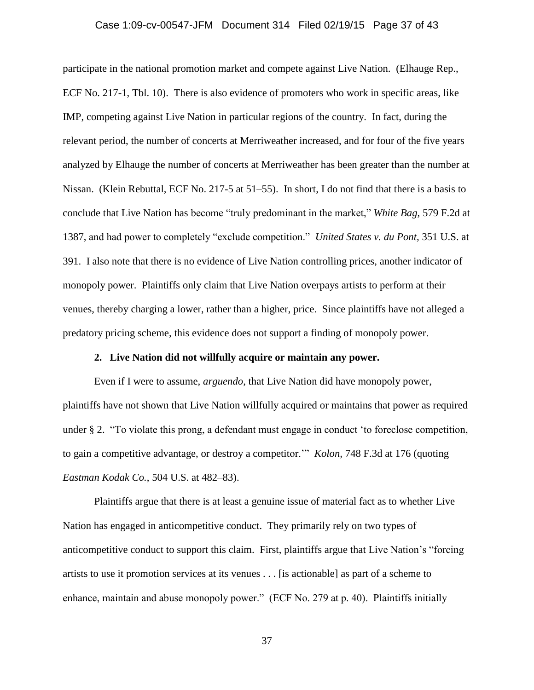#### Case 1:09-cv-00547-JFM Document 314 Filed 02/19/15 Page 37 of 43

participate in the national promotion market and compete against Live Nation. (Elhauge Rep., ECF No. 217-1, Tbl. 10). There is also evidence of promoters who work in specific areas, like IMP, competing against Live Nation in particular regions of the country. In fact, during the relevant period, the number of concerts at Merriweather increased, and for four of the five years analyzed by Elhauge the number of concerts at Merriweather has been greater than the number at Nissan. (Klein Rebuttal, ECF No. 217-5 at 51–55). In short, I do not find that there is a basis to conclude that Live Nation has become "truly predominant in the market," *White Bag,* 579 F.2d at 1387, and had power to completely "exclude competition." *United States v. du Pont,* 351 U.S. at 391. I also note that there is no evidence of Live Nation controlling prices, another indicator of monopoly power. Plaintiffs only claim that Live Nation overpays artists to perform at their venues, thereby charging a lower, rather than a higher, price. Since plaintiffs have not alleged a predatory pricing scheme, this evidence does not support a finding of monopoly power.

### **2. Live Nation did not willfully acquire or maintain any power.**

Even if I were to assume, *arguendo*, that Live Nation did have monopoly power, plaintiffs have not shown that Live Nation willfully acquired or maintains that power as required under § 2. "To violate this prong, a defendant must engage in conduct 'to foreclose competition, to gain a competitive advantage, or destroy a competitor.'" *Kolon,* 748 F.3d at 176 (quoting *Eastman Kodak Co.*, 504 U.S. at 482–83).

Plaintiffs argue that there is at least a genuine issue of material fact as to whether Live Nation has engaged in anticompetitive conduct. They primarily rely on two types of anticompetitive conduct to support this claim. First, plaintiffs argue that Live Nation's "forcing artists to use it promotion services at its venues . . . [is actionable] as part of a scheme to enhance, maintain and abuse monopoly power." (ECF No. 279 at p. 40). Plaintiffs initially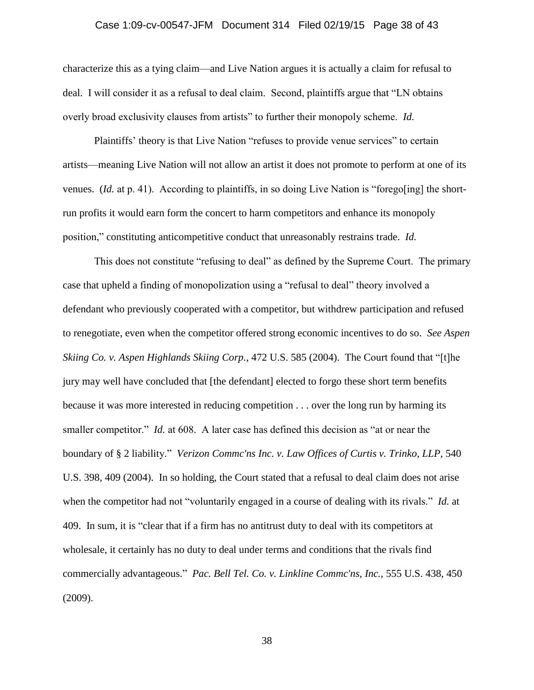### Case 1:09-cv-00547-JFM Document 314 Filed 02/19/15 Page 38 of 43

characterize this as a tying claim—and Live Nation argues it is actually a claim for refusal to deal. I will consider it as a refusal to deal claim. Second, plaintiffs argue that "LN obtains overly broad exclusivity clauses from artists" to further their monopoly scheme. *Id.*

Plaintiffs' theory is that Live Nation "refuses to provide venue services" to certain artists—meaning Live Nation will not allow an artist it does not promote to perform at one of its venues. *(Id.* at p. 41). According to plaintiffs, in so doing Live Nation is "forego[ing] the shortrun profits it would earn form the concert to harm competitors and enhance its monopoly position," constituting anticompetitive conduct that unreasonably restrains trade. *Id.*

This does not constitute "refusing to deal" as defined by the Supreme Court. The primary case that upheld a finding of monopolization using a "refusal to deal" theory involved a defendant who previously cooperated with a competitor, but withdrew participation and refused to renegotiate, even when the competitor offered strong economic incentives to do so. *See Aspen Skiing Co. v. Aspen Highlands Skiing Corp.*, 472 U.S. 585 (2004). The Court found that "[t]he jury may well have concluded that [the defendant] elected to forgo these short term benefits because it was more interested in reducing competition . . . over the long run by harming its smaller competitor." *Id.* at 608. A later case has defined this decision as "at or near the boundary of § 2 liability." *Verizon Commc'ns Inc. v. Law Offices of Curtis v. Trinko, LLP*, 540 U.S. 398, 409 (2004). In so holding, the Court stated that a refusal to deal claim does not arise when the competitor had not "voluntarily engaged in a course of dealing with its rivals." *Id.* at 409. In sum, it is "clear that if a firm has no antitrust duty to deal with its competitors at wholesale, it certainly has no duty to deal under terms and conditions that the rivals find commercially advantageous." *Pac. Bell Tel. Co. v. Linkline Commc'ns, Inc.*, 555 U.S. 438, 450 (2009).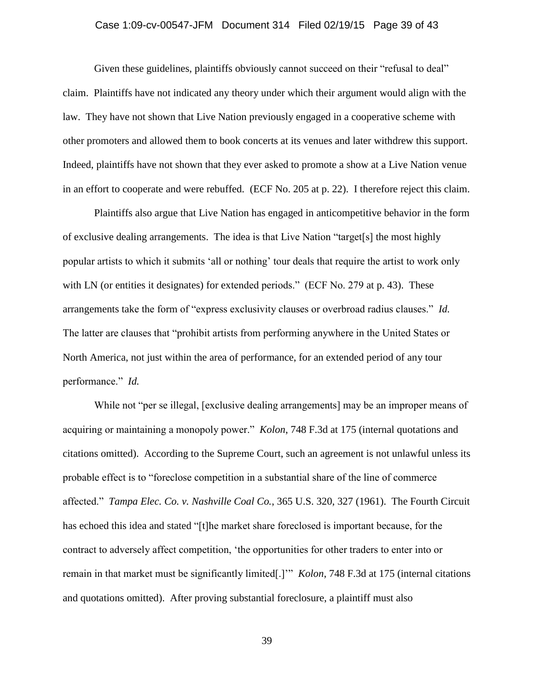### Case 1:09-cv-00547-JFM Document 314 Filed 02/19/15 Page 39 of 43

Given these guidelines, plaintiffs obviously cannot succeed on their "refusal to deal" claim. Plaintiffs have not indicated any theory under which their argument would align with the law. They have not shown that Live Nation previously engaged in a cooperative scheme with other promoters and allowed them to book concerts at its venues and later withdrew this support. Indeed, plaintiffs have not shown that they ever asked to promote a show at a Live Nation venue in an effort to cooperate and were rebuffed. (ECF No. 205 at p. 22). I therefore reject this claim.

Plaintiffs also argue that Live Nation has engaged in anticompetitive behavior in the form of exclusive dealing arrangements. The idea is that Live Nation "target[s] the most highly popular artists to which it submits 'all or nothing' tour deals that require the artist to work only with LN (or entities it designates) for extended periods." (ECF No. 279 at p. 43). These arrangements take the form of "express exclusivity clauses or overbroad radius clauses." *Id.* The latter are clauses that "prohibit artists from performing anywhere in the United States or North America, not just within the area of performance, for an extended period of any tour performance." *Id.*

While not "per se illegal, [exclusive dealing arrangements] may be an improper means of acquiring or maintaining a monopoly power." *Kolon*, 748 F.3d at 175 (internal quotations and citations omitted). According to the Supreme Court, such an agreement is not unlawful unless its probable effect is to "foreclose competition in a substantial share of the line of commerce affected." *Tampa Elec. Co. v. Nashville Coal Co.*, 365 U.S. 320, 327 (1961). The Fourth Circuit has echoed this idea and stated "[t]he market share foreclosed is important because, for the contract to adversely affect competition, 'the opportunities for other traders to enter into or remain in that market must be significantly limited[.]'" *Kolon*, 748 F.3d at 175 (internal citations and quotations omitted). After proving substantial foreclosure, a plaintiff must also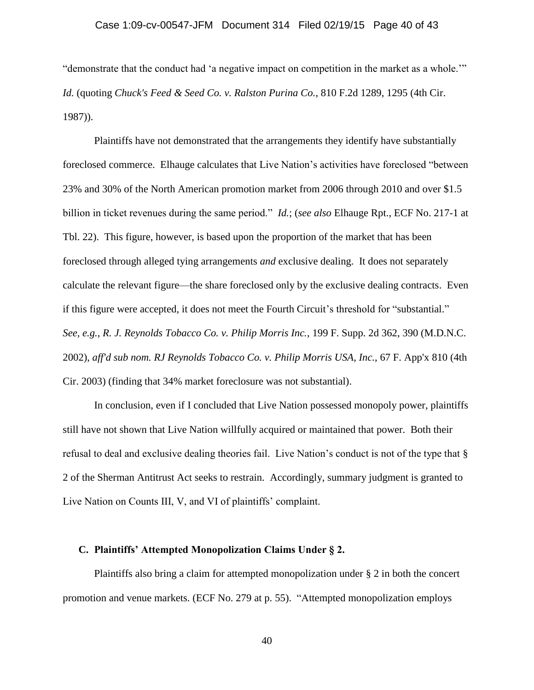"demonstrate that the conduct had 'a negative impact on competition in the market as a whole.'" *Id.* (quoting *Chuck's Feed & Seed Co. v. Ralston Purina Co.*, 810 F.2d 1289, 1295 (4th Cir. 1987)).

Plaintiffs have not demonstrated that the arrangements they identify have substantially foreclosed commerce. Elhauge calculates that Live Nation's activities have foreclosed "between 23% and 30% of the North American promotion market from 2006 through 2010 and over \$1.5 billion in ticket revenues during the same period." *Id.*; (*see also* Elhauge Rpt., ECF No. 217-1 at Tbl. 22). This figure, however, is based upon the proportion of the market that has been foreclosed through alleged tying arrangements *and* exclusive dealing. It does not separately calculate the relevant figure—the share foreclosed only by the exclusive dealing contracts. Even if this figure were accepted, it does not meet the Fourth Circuit's threshold for "substantial." *See, e.g.*, *R. J. Reynolds Tobacco Co. v. Philip Morris Inc.*, 199 F. Supp. 2d 362, 390 (M.D.N.C. 2002), *aff'd sub nom. RJ Reynolds Tobacco Co. v. Philip Morris USA, Inc.*, 67 F. App'x 810 (4th Cir. 2003) (finding that 34% market foreclosure was not substantial).

In conclusion, even if I concluded that Live Nation possessed monopoly power, plaintiffs still have not shown that Live Nation willfully acquired or maintained that power. Both their refusal to deal and exclusive dealing theories fail. Live Nation's conduct is not of the type that § 2 of the Sherman Antitrust Act seeks to restrain. Accordingly, summary judgment is granted to Live Nation on Counts III, V, and VI of plaintiffs' complaint.

### **C. Plaintiffs' Attempted Monopolization Claims Under § 2.**

Plaintiffs also bring a claim for attempted monopolization under § 2 in both the concert promotion and venue markets. (ECF No. 279 at p. 55). "Attempted monopolization employs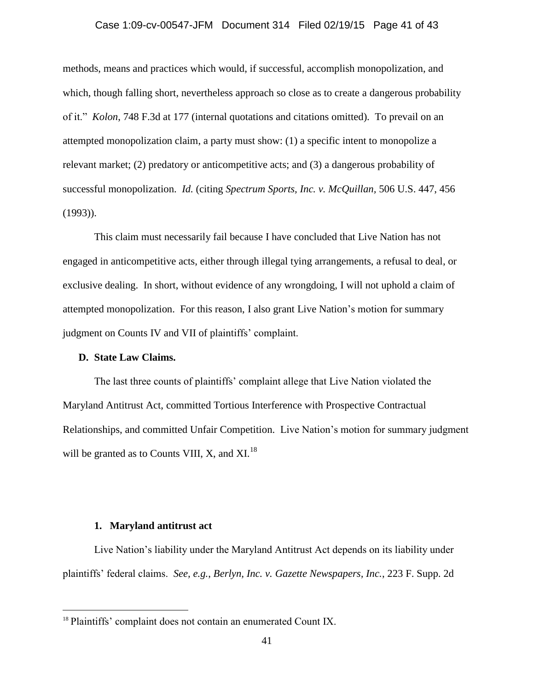### Case 1:09-cv-00547-JFM Document 314 Filed 02/19/15 Page 41 of 43

methods, means and practices which would, if successful, accomplish monopolization, and which, though falling short, nevertheless approach so close as to create a dangerous probability of it." *Kolon*, 748 F.3d at 177 (internal quotations and citations omitted). To prevail on an attempted monopolization claim, a party must show: (1) a specific intent to monopolize a relevant market; (2) predatory or anticompetitive acts; and (3) a dangerous probability of successful monopolization. *Id.* (citing *Spectrum Sports, Inc. v. McQuillan,* 506 U.S. 447, 456 (1993)).

This claim must necessarily fail because I have concluded that Live Nation has not engaged in anticompetitive acts, either through illegal tying arrangements, a refusal to deal, or exclusive dealing. In short, without evidence of any wrongdoing, I will not uphold a claim of attempted monopolization. For this reason, I also grant Live Nation's motion for summary judgment on Counts IV and VII of plaintiffs' complaint.

#### **D. State Law Claims.**

The last three counts of plaintiffs' complaint allege that Live Nation violated the Maryland Antitrust Act, committed Tortious Interference with Prospective Contractual Relationships, and committed Unfair Competition. Live Nation's motion for summary judgment will be granted as to Counts VIII, X, and  $X1.18$ 

#### **1. Maryland antitrust act**

 $\overline{a}$ 

Live Nation's liability under the Maryland Antitrust Act depends on its liability under plaintiffs' federal claims. *See, e.g.*, *Berlyn, Inc. v. Gazette Newspapers, Inc.*, 223 F. Supp. 2d

<sup>&</sup>lt;sup>18</sup> Plaintiffs' complaint does not contain an enumerated Count IX.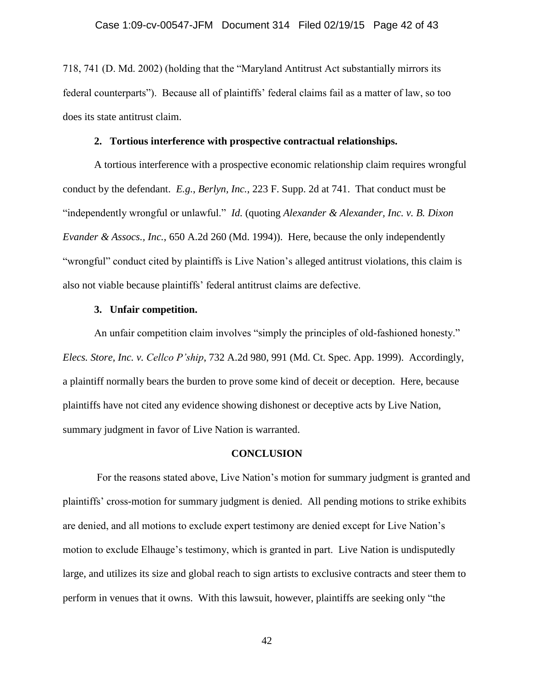718, 741 (D. Md. 2002) (holding that the "Maryland Antitrust Act substantially mirrors its federal counterparts"). Because all of plaintiffs' federal claims fail as a matter of law, so too does its state antitrust claim.

### **2. Tortious interference with prospective contractual relationships.**

A tortious interference with a prospective economic relationship claim requires wrongful conduct by the defendant. *E.g.*, *Berlyn, Inc.*, 223 F. Supp. 2d at 741. That conduct must be "independently wrongful or unlawful." *Id.* (quoting *Alexander & Alexander, Inc. v. B. Dixon Evander & Assocs., Inc.*, 650 A.2d 260 (Md. 1994)). Here, because the only independently "wrongful" conduct cited by plaintiffs is Live Nation's alleged antitrust violations, this claim is also not viable because plaintiffs' federal antitrust claims are defective.

### **3. Unfair competition.**

An unfair competition claim involves "simply the principles of old-fashioned honesty." *Elecs. Store, Inc. v. Cellco P'ship*, 732 A.2d 980, 991 (Md. Ct. Spec. App. 1999). Accordingly, a plaintiff normally bears the burden to prove some kind of deceit or deception. Here, because plaintiffs have not cited any evidence showing dishonest or deceptive acts by Live Nation, summary judgment in favor of Live Nation is warranted.

#### **CONCLUSION**

For the reasons stated above, Live Nation's motion for summary judgment is granted and plaintiffs' cross-motion for summary judgment is denied. All pending motions to strike exhibits are denied, and all motions to exclude expert testimony are denied except for Live Nation's motion to exclude Elhauge's testimony, which is granted in part. Live Nation is undisputedly large, and utilizes its size and global reach to sign artists to exclusive contracts and steer them to perform in venues that it owns. With this lawsuit, however, plaintiffs are seeking only "the